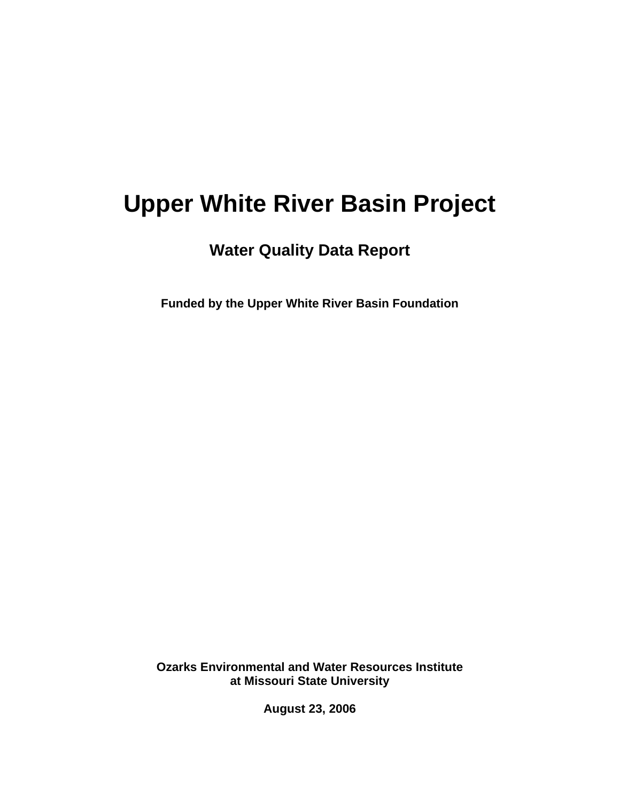# **Upper White River Basin Project**

**Water Quality Data Report** 

**Funded by the Upper White River Basin Foundation** 

**Ozarks Environmental and Water Resources Institute at Missouri State University** 

**August 23, 2006**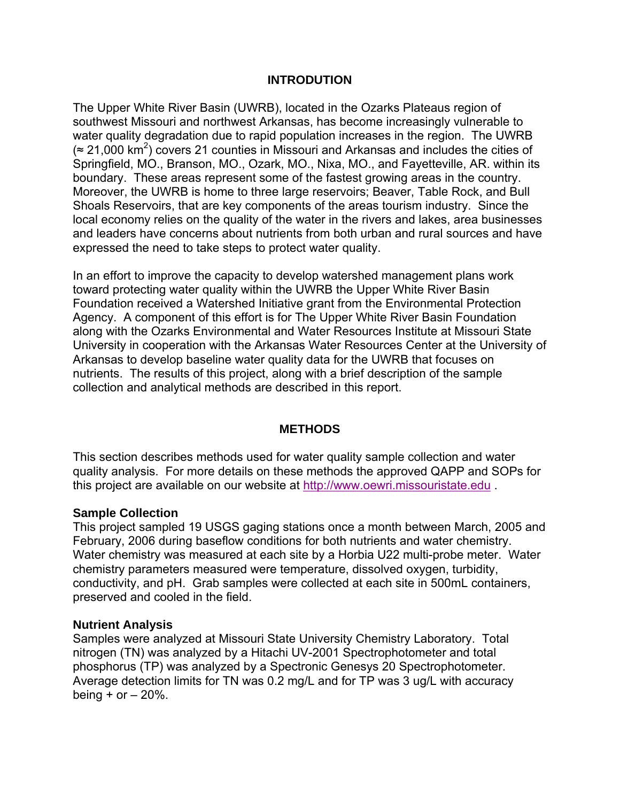# **INTRODUTION**

The Upper White River Basin (UWRB), located in the Ozarks Plateaus region of southwest Missouri and northwest Arkansas, has become increasingly vulnerable to water quality degradation due to rapid population increases in the region. The UWRB  $\approx$  21,000 km<sup>2</sup>) covers 21 counties in Missouri and Arkansas and includes the cities of Springfield, MO., Branson, MO., Ozark, MO., Nixa, MO., and Fayetteville, AR. within its boundary. These areas represent some of the fastest growing areas in the country. Moreover, the UWRB is home to three large reservoirs; Beaver, Table Rock, and Bull Shoals Reservoirs, that are key components of the areas tourism industry. Since the local economy relies on the quality of the water in the rivers and lakes, area businesses and leaders have concerns about nutrients from both urban and rural sources and have expressed the need to take steps to protect water quality.

In an effort to improve the capacity to develop watershed management plans work toward protecting water quality within the UWRB the Upper White River Basin Foundation received a Watershed Initiative grant from the Environmental Protection Agency. A component of this effort is for The Upper White River Basin Foundation along with the Ozarks Environmental and Water Resources Institute at Missouri State University in cooperation with the Arkansas Water Resources Center at the University of Arkansas to develop baseline water quality data for the UWRB that focuses on nutrients. The results of this project, along with a brief description of the sample collection and analytical methods are described in this report.

## **METHODS**

This section describes methods used for water quality sample collection and water quality analysis. For more details on these methods the approved QAPP and SOPs for this project are available on our website at http://www.oewri.missouristate.edu .

## **Sample Collection**

This project sampled 19 USGS gaging stations once a month between March, 2005 and February, 2006 during baseflow conditions for both nutrients and water chemistry. Water chemistry was measured at each site by a Horbia U22 multi-probe meter. Water chemistry parameters measured were temperature, dissolved oxygen, turbidity, conductivity, and pH. Grab samples were collected at each site in 500mL containers, preserved and cooled in the field.

## **Nutrient Analysis**

Samples were analyzed at Missouri State University Chemistry Laboratory. Total nitrogen (TN) was analyzed by a Hitachi UV-2001 Spectrophotometer and total phosphorus (TP) was analyzed by a Spectronic Genesys 20 Spectrophotometer. Average detection limits for TN was 0.2 mg/L and for TP was 3 ug/L with accuracy being  $+$  or  $-$  20%.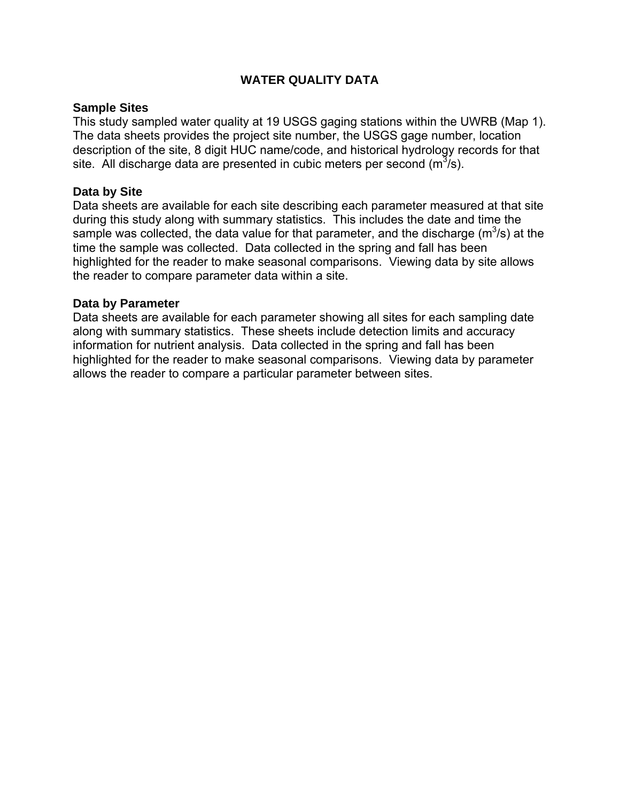# **WATER QUALITY DATA**

# **Sample Sites**

This study sampled water quality at 19 USGS gaging stations within the UWRB [\(Map 1\)](#page-3-0). The data sheets provides the project site number, the USGS gage number, location description of the site, 8 digit HUC name/code, and historical hydrology records for that site. All discharge data are presented in cubic meters per second ( $m^3$ /s).

## **Data by Site**

Data sheets are available for each site describing each parameter measured at that site during this study along with summary statistics. This includes the date and time the sample was collected, the data value for that parameter, and the discharge ( $m^3/s$ ) at the time the sample was collected. Data collected in the spring and fall has been highlighted for the reader to make seasonal comparisons. Viewing data by site allows the reader to compare parameter data within a site.

# **Data by Parameter**

Data sheets are available for each parameter showing all sites for each sampling date along with summary statistics. These sheets include detection limits and accuracy information for nutrient analysis. Data collected in the spring and fall has been highlighted for the reader to make seasonal comparisons. Viewing data by parameter allows the reader to compare a particular parameter between sites.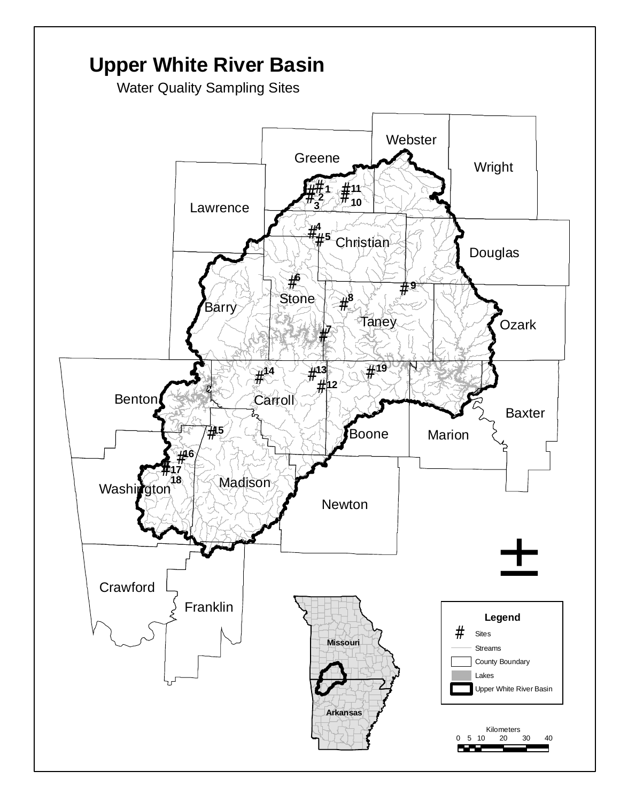<span id="page-3-0"></span>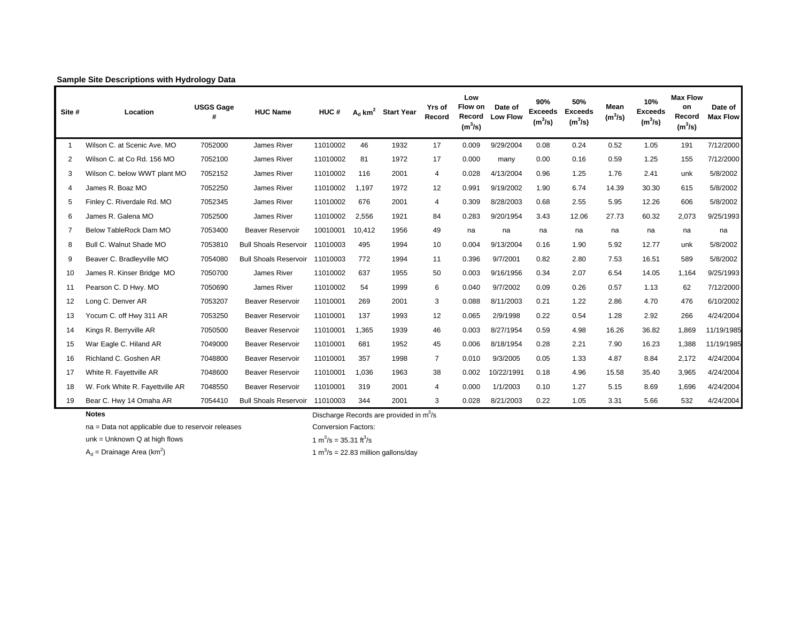| Site #         | Location                        | <b>USGS Gage</b> | <b>HUC Name</b>                | HUC#     |        | $A_d$ km <sup>2</sup> Start Year | Yrs of<br>Record | Low<br>Flow on<br>Record<br>$(m^3/s)$ | Date of<br><b>Low Flow</b> | 90%<br><b>Exceeds</b><br>$(m^3/s)$ | 50%<br><b>Exceeds</b><br>$(m^3/s)$ | Mean<br>$(m^3/s)$ | 10%<br><b>Exceeds</b><br>(m <sup>3</sup> /s) | <b>Max Flow</b><br>on<br>Record<br>(m <sup>3</sup> /s) | Date of<br><b>Max Flow</b> |
|----------------|---------------------------------|------------------|--------------------------------|----------|--------|----------------------------------|------------------|---------------------------------------|----------------------------|------------------------------------|------------------------------------|-------------------|----------------------------------------------|--------------------------------------------------------|----------------------------|
|                | Wilson C. at Scenic Ave. MO     | 7052000          | James River                    | 11010002 | 46     | 1932                             | 17               | 0.009                                 | 9/29/2004                  | 0.08                               | 0.24                               | 0.52              | 1.05                                         | 191                                                    | 7/12/2000                  |
| $\overline{2}$ | Wilson C. at Co Rd. 156 MO      | 7052100          | James River                    | 11010002 | 81     | 1972                             | 17               | 0.000                                 | many                       | 0.00                               | 0.16                               | 0.59              | 1.25                                         | 155                                                    | 7/12/2000                  |
| 3              | Wilson C. below WWT plant MO    | 7052152          | James River                    | 11010002 | 116    | 2001                             | 4                | 0.028                                 | 4/13/2004                  | 0.96                               | 1.25                               | 1.76              | 2.41                                         | unk                                                    | 5/8/2002                   |
|                | James R. Boaz MO                | 7052250          | James River                    | 11010002 | 1.197  | 1972                             | 12               | 0.991                                 | 9/19/2002                  | 1.90                               | 6.74                               | 14.39             | 30.30                                        | 615                                                    | 5/8/2002                   |
| 5              | Finley C. Riverdale Rd. MO      | 7052345          | James River                    | 11010002 | 676    | 2001                             | $\overline{4}$   | 0.309                                 | 8/28/2003                  | 0.68                               | 2.55                               | 5.95              | 12.26                                        | 606                                                    | 5/8/2002                   |
| 6              | James R. Galena MO              | 7052500          | James River                    | 11010002 | 2,556  | 1921                             | 84               | 0.283                                 | 9/20/1954                  | 3.43                               | 12.06                              | 27.73             | 60.32                                        | 2,073                                                  | 9/25/1993                  |
|                | Below TableRock Dam MO          | 7053400          | <b>Beaver Reservoir</b>        | 10010001 | 10,412 | 1956                             | 49               | na                                    | na                         | na                                 | na                                 | na                | na                                           | na                                                     | na                         |
| 8              | Bull C. Walnut Shade MO         | 7053810          | <b>Bull Shoals Reservoir</b>   | 11010003 | 495    | 1994                             | 10               | 0.004                                 | 9/13/2004                  | 0.16                               | 1.90                               | 5.92              | 12.77                                        | unk                                                    | 5/8/2002                   |
| 9              | Beaver C. Bradleyville MO       | 7054080          | <b>Bull Shoals Reservoir</b>   | 11010003 | 772    | 1994                             | 11               | 0.396                                 | 9/7/2001                   | 0.82                               | 2.80                               | 7.53              | 16.51                                        | 589                                                    | 5/8/2002                   |
| 10             | James R. Kinser Bridge MO       | 7050700          | James River                    | 11010002 | 637    | 1955                             | 50               | 0.003                                 | 9/16/1956                  | 0.34                               | 2.07                               | 6.54              | 14.05                                        | 1,164                                                  | 9/25/1993                  |
| 11             | Pearson C. D Hwy. MO            | 7050690          | James River                    | 11010002 | 54     | 1999                             | 6                | 0.040                                 | 9/7/2002                   | 0.09                               | 0.26                               | 0.57              | 1.13                                         | 62                                                     | 7/12/2000                  |
| 12             | Long C. Denver AR               | 7053207          | <b>Beaver Reservoir</b>        | 11010001 | 269    | 2001                             | 3                | 0.088                                 | 8/11/2003                  | 0.21                               | 1.22                               | 2.86              | 4.70                                         | 476                                                    | 6/10/2002                  |
| 13             | Yocum C. off Hwy 311 AR         | 7053250          | Beaver Reservoir               | 11010001 | 137    | 1993                             | 12               | 0.065                                 | 2/9/1998                   | 0.22                               | 0.54                               | 1.28              | 2.92                                         | 266                                                    | 4/24/2004                  |
| 14             | Kings R. Berryville AR          | 7050500          | <b>Beaver Reservoir</b>        | 11010001 | 1,365  | 1939                             | 46               | 0.003                                 | 8/27/1954                  | 0.59                               | 4.98                               | 16.26             | 36.82                                        | 1,869                                                  | 11/19/1985                 |
| 15             | War Eagle C. Hiland AR          | 7049000          | <b>Beaver Reservoir</b>        | 11010001 | 681    | 1952                             | 45               | 0.006                                 | 8/18/1954                  | 0.28                               | 2.21                               | 7.90              | 16.23                                        | 1,388                                                  | 11/19/1985                 |
| 16             | Richland C. Goshen AR           | 7048800          | Beaver Reservoir               | 11010001 | 357    | 1998                             | $\overline{7}$   | 0.010                                 | 9/3/2005                   | 0.05                               | 1.33                               | 4.87              | 8.84                                         | 2,172                                                  | 4/24/2004                  |
| 17             | White R. Fayettville AR         | 7048600          | <b>Beaver Reservoir</b>        | 11010001 | 1,036  | 1963                             | 38               | 0.002                                 | 10/22/1991                 | 0.18                               | 4.96                               | 15.58             | 35.40                                        | 3,965                                                  | 4/24/2004                  |
| 18             | W. Fork White R. Fayettville AR | 7048550          | <b>Beaver Reservoir</b>        | 11010001 | 319    | 2001                             | 4                | 0.000                                 | 1/1/2003                   | 0.10                               | 1.27                               | 5.15              | 8.69                                         | 1,696                                                  | 4/24/2004                  |
| 19             | Bear C. Hwy 14 Omaha AR         | 7054410          | Bull Shoals Reservoir 11010003 |          | 344    | 2001                             | 3                | 0.028                                 | 8/21/2003                  | 0.22                               | 1.05                               | 3.31              | 5.66                                         | 532                                                    | 4/24/2004                  |

#### **Sample Site Descriptions with Hydrology Data**

**Notes**

Discharge Records are provided in  $m^3/s$ 

na = Data not applicable due to reservoir releases Conversion Factors:

unk = Unknown Q at high flows  $1 \text{ m}^3/\text{s} = 35.31 \text{ ft}^3/\text{s}$ 

 $A_d$  = Drainage Area (km<sup>2</sup>)  $A_d$  = 22.83 million gallons/day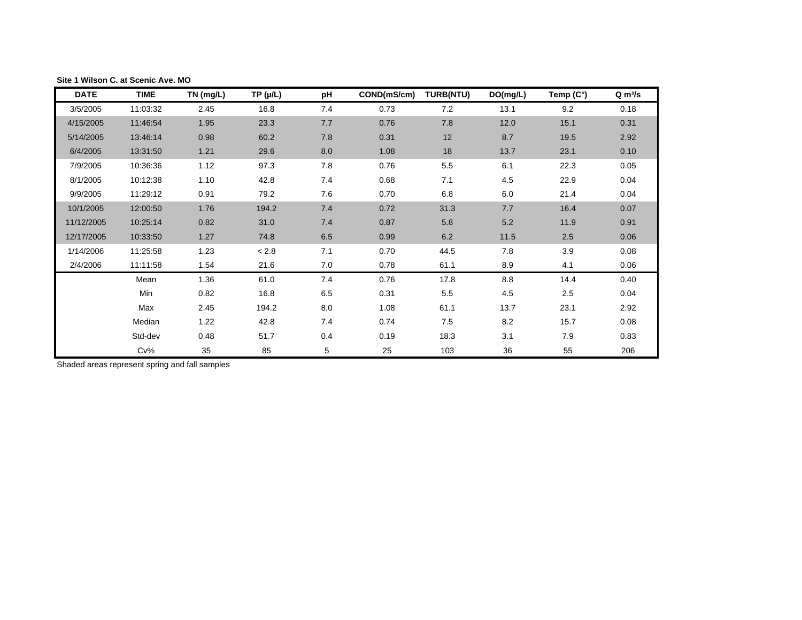| <b>DATE</b> | <b>TIME</b> | TN (mg/L) | $TP(\mu/L)$ | рH  | COND(mS/cm) | <b>TURB(NTU)</b> | DO(mg/L) | Temp (C°) | $Q \, \text{m}^3/\text{s}$ |
|-------------|-------------|-----------|-------------|-----|-------------|------------------|----------|-----------|----------------------------|
| 3/5/2005    | 11:03:32    | 2.45      | 16.8        | 7.4 | 0.73        | 7.2              | 13.1     | 9.2       | 0.18                       |
| 4/15/2005   | 11:46:54    | 1.95      | 23.3        | 7.7 | 0.76        | 7.8              | 12.0     | 15.1      | 0.31                       |
| 5/14/2005   | 13:46:14    | 0.98      | 60.2        | 7.8 | 0.31        | 12               | 8.7      | 19.5      | 2.92                       |
| 6/4/2005    | 13:31:50    | 1.21      | 29.6        | 8.0 | 1.08        | 18               | 13.7     | 23.1      | 0.10                       |
| 7/9/2005    | 10:36:36    | 1.12      | 97.3        | 7.8 | 0.76        | 5.5              | 6.1      | 22.3      | 0.05                       |
| 8/1/2005    | 10:12:38    | 1.10      | 42.8        | 7.4 | 0.68        | 7.1              | 4.5      | 22.9      | 0.04                       |
| 9/9/2005    | 11:29:12    | 0.91      | 79.2        | 7.6 | 0.70        | 6.8              | 6.0      | 21.4      | 0.04                       |
| 10/1/2005   | 12:00:50    | 1.76      | 194.2       | 7.4 | 0.72        | 31.3             | 7.7      | 16.4      | 0.07                       |
| 11/12/2005  | 10:25:14    | 0.82      | 31.0        | 7.4 | 0.87        | 5.8              | 5.2      | 11.9      | 0.91                       |
| 12/17/2005  | 10:33:50    | 1.27      | 74.8        | 6.5 | 0.99        | 6.2              | 11.5     | 2.5       | 0.06                       |
| 1/14/2006   | 11:25:58    | 1.23      | $< 2.8$     | 7.1 | 0.70        | 44.5             | 7.8      | 3.9       | 0.08                       |
| 2/4/2006    | 11:11:58    | 1.54      | 21.6        | 7.0 | 0.78        | 61.1             | 8.9      | 4.1       | 0.06                       |
|             | Mean        | 1.36      | 61.0        | 7.4 | 0.76        | 17.8             | 8.8      | 14.4      | 0.40                       |
|             | Min         | 0.82      | 16.8        | 6.5 | 0.31        | 5.5              | 4.5      | 2.5       | 0.04                       |
|             | Max         | 2.45      | 194.2       | 8.0 | 1.08        | 61.1             | 13.7     | 23.1      | 2.92                       |
|             | Median      | 1.22      | 42.8        | 7.4 | 0.74        | 7.5              | 8.2      | 15.7      | 0.08                       |
|             | Std-dev     | 0.48      | 51.7        | 0.4 | 0.19        | 18.3             | 3.1      | 7.9       | 0.83                       |
|             | $Cv\%$      | 35        | 85          | 5   | 25          | 103              | 36       | 55        | 206                        |

#### <span id="page-5-0"></span>**Site 1 Wilson C. at Scenic Ave. MO**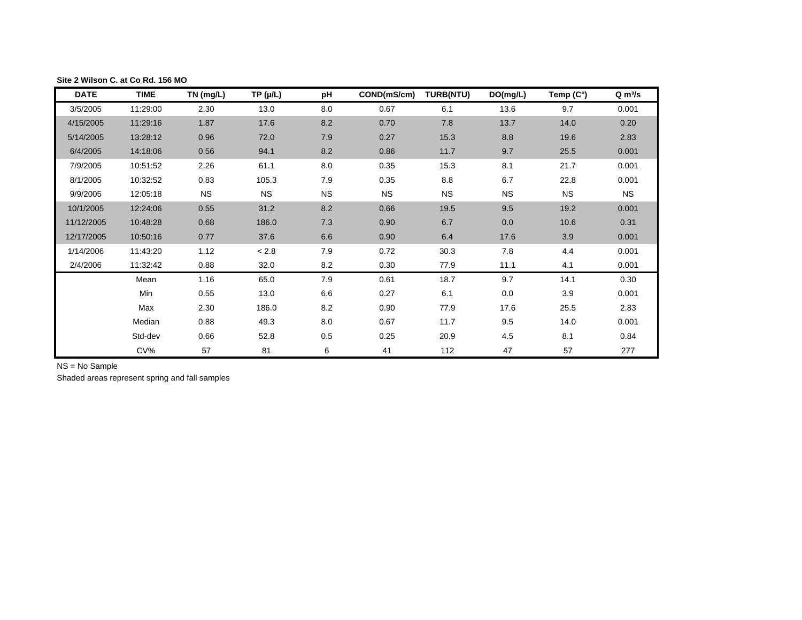| <b>DATE</b> | <b>TIME</b> | TN (mg/L) | TP (µ/L)  | рH        | COND(mS/cm) | <b>TURB(NTU)</b> | DO(mg/L)  | Temp (C°) | $Q \, \text{m}^3/\text{s}$ |
|-------------|-------------|-----------|-----------|-----------|-------------|------------------|-----------|-----------|----------------------------|
| 3/5/2005    | 11:29:00    | 2.30      | 13.0      | 8.0       | 0.67        | 6.1              | 13.6      | 9.7       | 0.001                      |
| 4/15/2005   | 11:29:16    | 1.87      | 17.6      | 8.2       | 0.70        | 7.8              | 13.7      | 14.0      | 0.20                       |
| 5/14/2005   | 13:28:12    | 0.96      | 72.0      | 7.9       | 0.27        | 15.3             | 8.8       | 19.6      | 2.83                       |
| 6/4/2005    | 14:18:06    | 0.56      | 94.1      | 8.2       | 0.86        | 11.7             | 9.7       | 25.5      | 0.001                      |
| 7/9/2005    | 10:51:52    | 2.26      | 61.1      | 8.0       | 0.35        | 15.3             | 8.1       | 21.7      | 0.001                      |
| 8/1/2005    | 10:32:52    | 0.83      | 105.3     | 7.9       | 0.35        | 8.8              | 6.7       | 22.8      | 0.001                      |
| 9/9/2005    | 12:05:18    | <b>NS</b> | <b>NS</b> | <b>NS</b> | <b>NS</b>   | <b>NS</b>        | <b>NS</b> | <b>NS</b> | <b>NS</b>                  |
| 10/1/2005   | 12:24:06    | 0.55      | 31.2      | 8.2       | 0.66        | 19.5             | 9.5       | 19.2      | 0.001                      |
| 11/12/2005  | 10:48:28    | 0.68      | 186.0     | 7.3       | 0.90        | 6.7              | 0.0       | 10.6      | 0.31                       |
| 12/17/2005  | 10:50:16    | 0.77      | 37.6      | 6.6       | 0.90        | 6.4              | 17.6      | 3.9       | 0.001                      |
| 1/14/2006   | 11:43:20    | 1.12      | < 2.8     | 7.9       | 0.72        | 30.3             | 7.8       | 4.4       | 0.001                      |
| 2/4/2006    | 11:32:42    | 0.88      | 32.0      | 8.2       | 0.30        | 77.9             | 11.1      | 4.1       | 0.001                      |
|             | Mean        | 1.16      | 65.0      | 7.9       | 0.61        | 18.7             | 9.7       | 14.1      | 0.30                       |
|             | Min         | 0.55      | 13.0      | $6.6\,$   | 0.27        | 6.1              | 0.0       | 3.9       | 0.001                      |
|             | Max         | 2.30      | 186.0     | 8.2       | 0.90        | 77.9             | 17.6      | 25.5      | 2.83                       |
|             | Median      | 0.88      | 49.3      | 8.0       | 0.67        | 11.7             | 9.5       | 14.0      | 0.001                      |
|             | Std-dev     | 0.66      | 52.8      | 0.5       | 0.25        | 20.9             | 4.5       | 8.1       | 0.84                       |
|             | CV%         | 57        | 81        | 6         | 41          | 112              | 47        | 57        | 277                        |

#### <span id="page-6-0"></span>**Site 2 Wilson C. at Co Rd. 156 MO**

NS = No Sample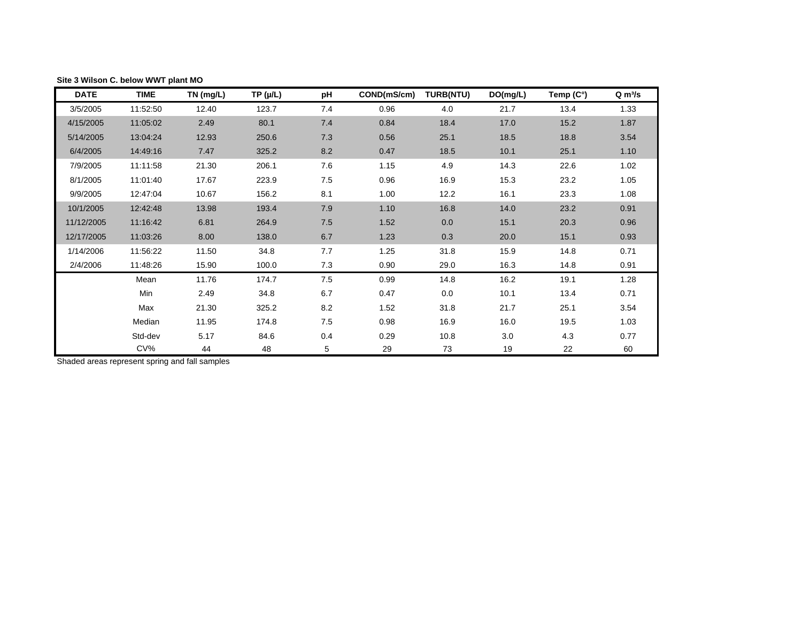| <b>DATE</b> | <b>TIME</b> | TN (mg/L) | $TP(\mu/L)$ | pH  | COND(mS/cm) | <b>TURB(NTU)</b> | DO(mg/L) | Temp (C°) | $Q \, \text{m}^3/\text{s}$ |
|-------------|-------------|-----------|-------------|-----|-------------|------------------|----------|-----------|----------------------------|
| 3/5/2005    | 11:52:50    | 12.40     | 123.7       | 7.4 | 0.96        | 4.0              | 21.7     | 13.4      | 1.33                       |
| 4/15/2005   | 11:05:02    | 2.49      | 80.1        | 7.4 | 0.84        | 18.4             | 17.0     | 15.2      | 1.87                       |
| 5/14/2005   | 13:04:24    | 12.93     | 250.6       | 7.3 | 0.56        | 25.1             | 18.5     | 18.8      | 3.54                       |
| 6/4/2005    | 14:49:16    | 7.47      | 325.2       | 8.2 | 0.47        | 18.5             | 10.1     | 25.1      | 1.10                       |
| 7/9/2005    | 11:11:58    | 21.30     | 206.1       | 7.6 | 1.15        | 4.9              | 14.3     | 22.6      | 1.02                       |
| 8/1/2005    | 11:01:40    | 17.67     | 223.9       | 7.5 | 0.96        | 16.9             | 15.3     | 23.2      | 1.05                       |
| 9/9/2005    | 12:47:04    | 10.67     | 156.2       | 8.1 | 1.00        | 12.2             | 16.1     | 23.3      | 1.08                       |
| 10/1/2005   | 12:42:48    | 13.98     | 193.4       | 7.9 | 1.10        | 16.8             | 14.0     | 23.2      | 0.91                       |
| 11/12/2005  | 11:16:42    | 6.81      | 264.9       | 7.5 | 1.52        | 0.0              | 15.1     | 20.3      | 0.96                       |
| 12/17/2005  | 11:03:26    | 8.00      | 138.0       | 6.7 | 1.23        | 0.3              | 20.0     | 15.1      | 0.93                       |
| 1/14/2006   | 11:56:22    | 11.50     | 34.8        | 7.7 | 1.25        | 31.8             | 15.9     | 14.8      | 0.71                       |
| 2/4/2006    | 11:48:26    | 15.90     | 100.0       | 7.3 | 0.90        | 29.0             | 16.3     | 14.8      | 0.91                       |
|             | Mean        | 11.76     | 174.7       | 7.5 | 0.99        | 14.8             | 16.2     | 19.1      | 1.28                       |
|             | Min         | 2.49      | 34.8        | 6.7 | 0.47        | 0.0              | 10.1     | 13.4      | 0.71                       |
|             | Max         | 21.30     | 325.2       | 8.2 | 1.52        | 31.8             | 21.7     | 25.1      | 3.54                       |
|             | Median      | 11.95     | 174.8       | 7.5 | 0.98        | 16.9             | 16.0     | 19.5      | 1.03                       |
|             | Std-dev     | 5.17      | 84.6        | 0.4 | 0.29        | 10.8             | 3.0      | 4.3       | 0.77                       |
|             | CV%         | 44        | 48          | 5   | 29          | 73               | 19       | 22        | 60                         |

#### <span id="page-7-0"></span>**Site 3 Wilson C. below WWT plant MO**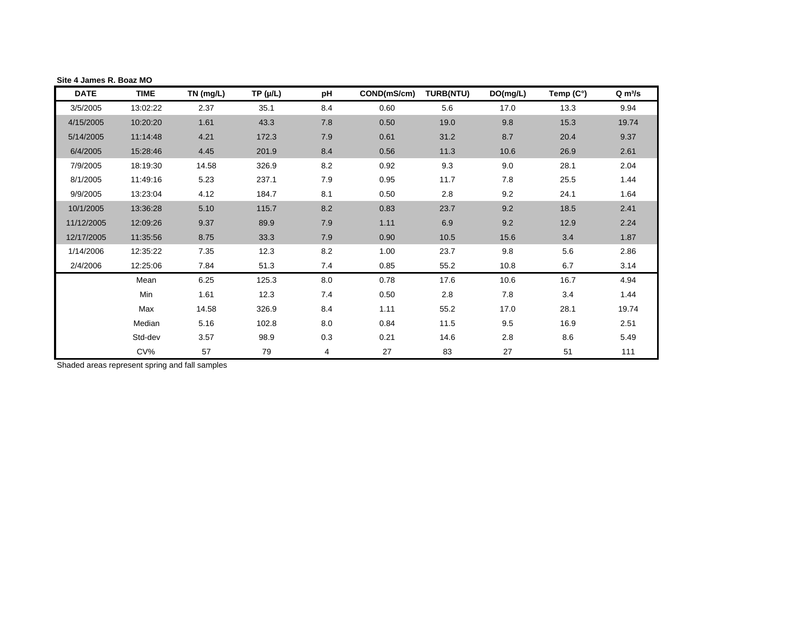| <b>DATE</b> | <b>TIME</b> | TN (mg/L) | $TP(\mu/L)$ | рH  | COND(mS/cm) | <b>TURB(NTU)</b> | DO(mg/L) | Temp (C°) | Q m <sup>3</sup> /s |
|-------------|-------------|-----------|-------------|-----|-------------|------------------|----------|-----------|---------------------|
| 3/5/2005    | 13:02:22    | 2.37      | 35.1        | 8.4 | 0.60        | 5.6              | 17.0     | 13.3      | 9.94                |
| 4/15/2005   | 10:20:20    | 1.61      | 43.3        | 7.8 | 0.50        | 19.0             | 9.8      | 15.3      | 19.74               |
| 5/14/2005   | 11:14:48    | 4.21      | 172.3       | 7.9 | 0.61        | 31.2             | 8.7      | 20.4      | 9.37                |
| 6/4/2005    | 15:28:46    | 4.45      | 201.9       | 8.4 | 0.56        | 11.3             | 10.6     | 26.9      | 2.61                |
| 7/9/2005    | 18:19:30    | 14.58     | 326.9       | 8.2 | 0.92        | 9.3              | 9.0      | 28.1      | 2.04                |
| 8/1/2005    | 11:49:16    | 5.23      | 237.1       | 7.9 | 0.95        | 11.7             | 7.8      | 25.5      | 1.44                |
| 9/9/2005    | 13:23:04    | 4.12      | 184.7       | 8.1 | 0.50        | 2.8              | 9.2      | 24.1      | 1.64                |
| 10/1/2005   | 13:36:28    | 5.10      | 115.7       | 8.2 | 0.83        | 23.7             | 9.2      | 18.5      | 2.41                |
| 11/12/2005  | 12:09:26    | 9.37      | 89.9        | 7.9 | 1.11        | 6.9              | 9.2      | 12.9      | 2.24                |
| 12/17/2005  | 11:35:56    | 8.75      | 33.3        | 7.9 | 0.90        | 10.5             | 15.6     | 3.4       | 1.87                |
| 1/14/2006   | 12:35:22    | 7.35      | 12.3        | 8.2 | 1.00        | 23.7             | 9.8      | 5.6       | 2.86                |
| 2/4/2006    | 12:25:06    | 7.84      | 51.3        | 7.4 | 0.85        | 55.2             | 10.8     | 6.7       | 3.14                |
|             | Mean        | 6.25      | 125.3       | 8.0 | 0.78        | 17.6             | 10.6     | 16.7      | 4.94                |
|             | Min         | 1.61      | 12.3        | 7.4 | 0.50        | 2.8              | 7.8      | 3.4       | 1.44                |
|             | Max         | 14.58     | 326.9       | 8.4 | 1.11        | 55.2             | 17.0     | 28.1      | 19.74               |
|             | Median      | 5.16      | 102.8       | 8.0 | 0.84        | 11.5             | 9.5      | 16.9      | 2.51                |
|             | Std-dev     | 3.57      | 98.9        | 0.3 | 0.21        | 14.6             | 2.8      | 8.6       | 5.49                |
|             | CV%         | 57        | 79          | 4   | 27          | 83               | 27       | 51        | 111                 |

#### <span id="page-8-0"></span>**Site 4 James R. Boaz MO**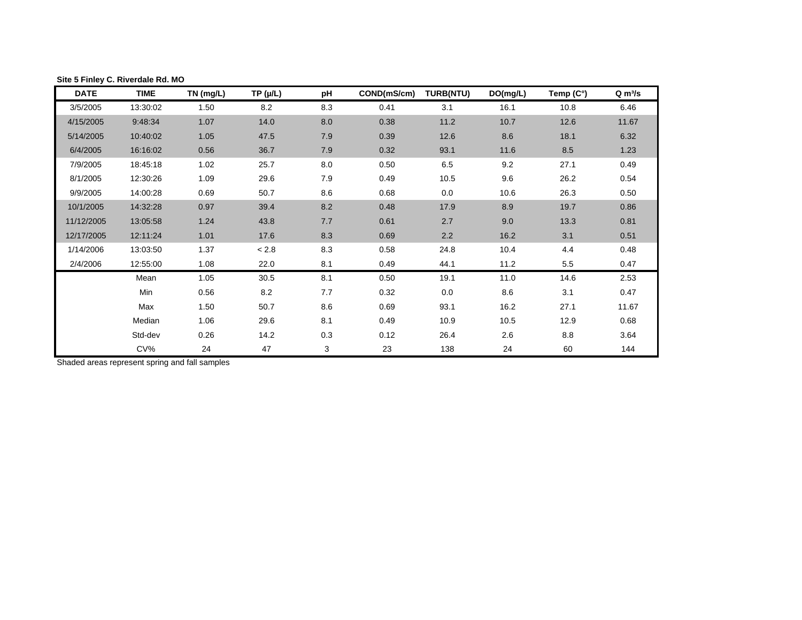| <b>DATE</b> | <b>TIME</b> | TN (mg/L) | $TP(\mu/L)$ | рH  | COND(mS/cm) | <b>TURB(NTU)</b> | DO(mg/L) | Temp $(C^\circ)$ | $Q \, \text{m}^3/\text{s}$ |
|-------------|-------------|-----------|-------------|-----|-------------|------------------|----------|------------------|----------------------------|
| 3/5/2005    | 13:30:02    | 1.50      | 8.2         | 8.3 | 0.41        | 3.1              | 16.1     | 10.8             | 6.46                       |
| 4/15/2005   | 9:48:34     | 1.07      | 14.0        | 8.0 | 0.38        | 11.2             | 10.7     | 12.6             | 11.67                      |
| 5/14/2005   | 10:40:02    | 1.05      | 47.5        | 7.9 | 0.39        | 12.6             | 8.6      | 18.1             | 6.32                       |
| 6/4/2005    | 16:16:02    | 0.56      | 36.7        | 7.9 | 0.32        | 93.1             | 11.6     | 8.5              | 1.23                       |
| 7/9/2005    | 18:45:18    | 1.02      | 25.7        | 8.0 | 0.50        | 6.5              | 9.2      | 27.1             | 0.49                       |
| 8/1/2005    | 12:30:26    | 1.09      | 29.6        | 7.9 | 0.49        | 10.5             | 9.6      | 26.2             | 0.54                       |
| 9/9/2005    | 14:00:28    | 0.69      | 50.7        | 8.6 | 0.68        | 0.0              | 10.6     | 26.3             | 0.50                       |
| 10/1/2005   | 14:32:28    | 0.97      | 39.4        | 8.2 | 0.48        | 17.9             | 8.9      | 19.7             | 0.86                       |
| 11/12/2005  | 13:05:58    | 1.24      | 43.8        | 7.7 | 0.61        | 2.7              | 9.0      | 13.3             | 0.81                       |
| 12/17/2005  | 12:11:24    | 1.01      | 17.6        | 8.3 | 0.69        | 2.2              | 16.2     | 3.1              | 0.51                       |
| 1/14/2006   | 13:03:50    | 1.37      | < 2.8       | 8.3 | 0.58        | 24.8             | 10.4     | 4.4              | 0.48                       |
| 2/4/2006    | 12:55:00    | 1.08      | 22.0        | 8.1 | 0.49        | 44.1             | 11.2     | 5.5              | 0.47                       |
|             | Mean        | 1.05      | 30.5        | 8.1 | 0.50        | 19.1             | 11.0     | 14.6             | 2.53                       |
|             | Min         | 0.56      | 8.2         | 7.7 | 0.32        | 0.0              | 8.6      | 3.1              | 0.47                       |
|             | Max         | 1.50      | 50.7        | 8.6 | 0.69        | 93.1             | 16.2     | 27.1             | 11.67                      |
|             | Median      | 1.06      | 29.6        | 8.1 | 0.49        | 10.9             | 10.5     | 12.9             | 0.68                       |
|             | Std-dev     | 0.26      | 14.2        | 0.3 | 0.12        | 26.4             | 2.6      | 8.8              | 3.64                       |
|             | $CV\%$      | 24        | 47          | 3   | 23          | 138              | 24       | 60               | 144                        |

## <span id="page-9-0"></span>**Site 5 Finley C. Riverdale Rd. MO**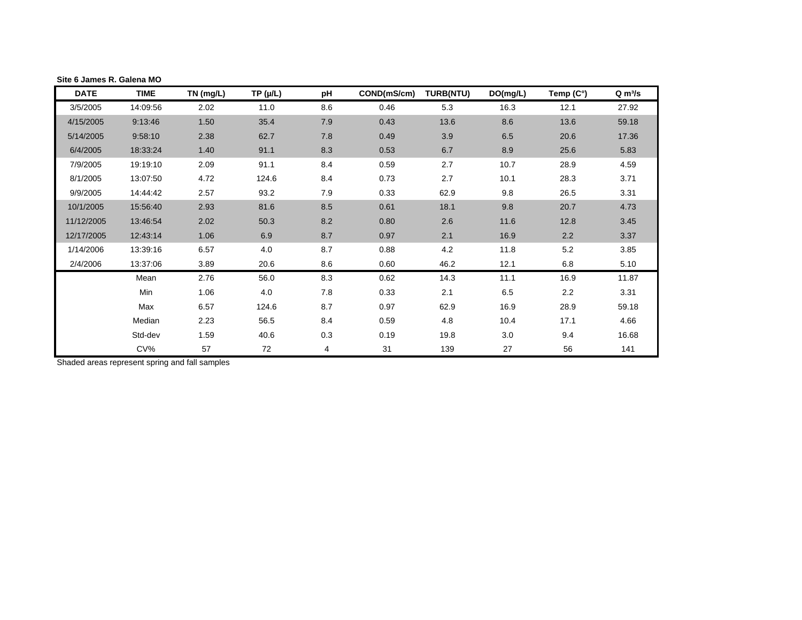<span id="page-10-0"></span>

| Site 6 James R. Galena MO |             |           |             |     |             |                  |          |                  |              |
|---------------------------|-------------|-----------|-------------|-----|-------------|------------------|----------|------------------|--------------|
| <b>DATE</b>               | <b>TIME</b> | TN (mg/L) | $TP(\mu/L)$ | рH  | COND(mS/cm) | <b>TURB(NTU)</b> | DO(mg/L) | Temp $(C^\circ)$ | $Q \, m^3/s$ |
| 3/5/2005                  | 14:09:56    | 2.02      | 11.0        | 8.6 | 0.46        | 5.3              | 16.3     | 12.1             | 27.92        |
| 4/15/2005                 | 9:13:46     | 1.50      | 35.4        | 7.9 | 0.43        | 13.6             | 8.6      | 13.6             | 59.18        |
| 5/14/2005                 | 9:58:10     | 2.38      | 62.7        | 7.8 | 0.49        | 3.9              | 6.5      | 20.6             | 17.36        |
| 6/4/2005                  | 18:33:24    | 1.40      | 91.1        | 8.3 | 0.53        | 6.7              | 8.9      | 25.6             | 5.83         |
| 7/9/2005                  | 19:19:10    | 2.09      | 91.1        | 8.4 | 0.59        | 2.7              | 10.7     | 28.9             | 4.59         |
| 8/1/2005                  | 13:07:50    | 4.72      | 124.6       | 8.4 | 0.73        | 2.7              | 10.1     | 28.3             | 3.71         |
| 9/9/2005                  | 14:44:42    | 2.57      | 93.2        | 7.9 | 0.33        | 62.9             | 9.8      | 26.5             | 3.31         |
| 10/1/2005                 | 15:56:40    | 2.93      | 81.6        | 8.5 | 0.61        | 18.1             | 9.8      | 20.7             | 4.73         |
| 11/12/2005                | 13:46:54    | 2.02      | 50.3        | 8.2 | 0.80        | 2.6              | 11.6     | 12.8             | 3.45         |
| 12/17/2005                | 12:43:14    | 1.06      | 6.9         | 8.7 | 0.97        | 2.1              | 16.9     | 2.2              | 3.37         |
| 1/14/2006                 | 13:39:16    | 6.57      | 4.0         | 8.7 | 0.88        | 4.2              | 11.8     | 5.2              | 3.85         |
| 2/4/2006                  | 13:37:06    | 3.89      | 20.6        | 8.6 | 0.60        | 46.2             | 12.1     | 6.8              | 5.10         |
|                           | Mean        | 2.76      | 56.0        | 8.3 | 0.62        | 14.3             | 11.1     | 16.9             | 11.87        |
|                           | Min         | 1.06      | 4.0         | 7.8 | 0.33        | 2.1              | 6.5      | 2.2              | 3.31         |
|                           | Max         | 6.57      | 124.6       | 8.7 | 0.97        | 62.9             | 16.9     | 28.9             | 59.18        |
|                           | Median      | 2.23      | 56.5        | 8.4 | 0.59        | 4.8              | 10.4     | 17.1             | 4.66         |
|                           | Std-dev     | 1.59      | 40.6        | 0.3 | 0.19        | 19.8             | 3.0      | 9.4              | 16.68        |
|                           | CV%         | 57        | 72          | 4   | 31          | 139              | 27       | 56               | 141          |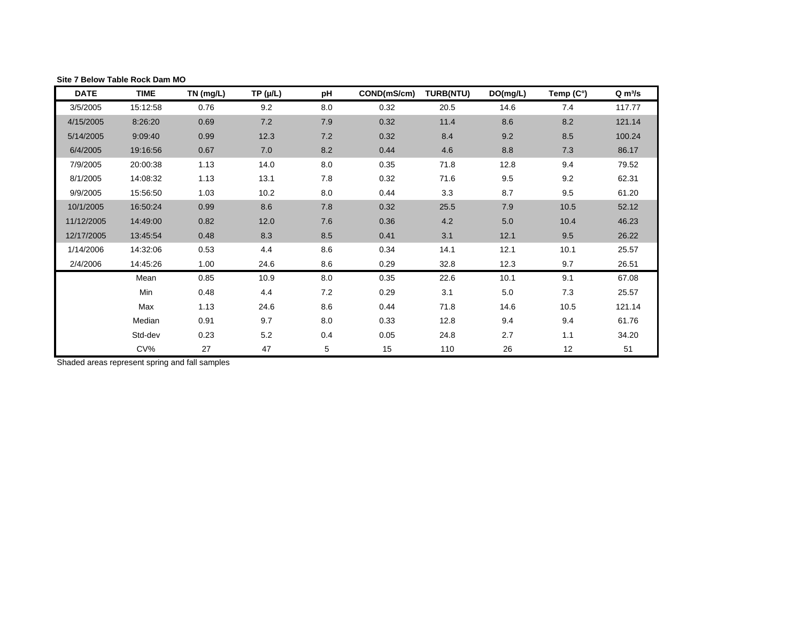| <b>DATE</b> | <b>TIME</b> | TN (mg/L) | $TP(\mu/L)$ | рH  | COND(mS/cm) | <b>TURB(NTU)</b> | DO(mg/L) | Temp (C°) | $Q \, \text{m}^3/\text{s}$ |
|-------------|-------------|-----------|-------------|-----|-------------|------------------|----------|-----------|----------------------------|
| 3/5/2005    | 15:12:58    | 0.76      | 9.2         | 8.0 | 0.32        | 20.5             | 14.6     | 7.4       | 117.77                     |
| 4/15/2005   | 8:26:20     | 0.69      | 7.2         | 7.9 | 0.32        | 11.4             | 8.6      | 8.2       | 121.14                     |
| 5/14/2005   | 9:09:40     | 0.99      | 12.3        | 7.2 | 0.32        | 8.4              | 9.2      | 8.5       | 100.24                     |
| 6/4/2005    | 19:16:56    | 0.67      | 7.0         | 8.2 | 0.44        | 4.6              | 8.8      | 7.3       | 86.17                      |
| 7/9/2005    | 20:00:38    | 1.13      | 14.0        | 8.0 | 0.35        | 71.8             | 12.8     | 9.4       | 79.52                      |
| 8/1/2005    | 14:08:32    | 1.13      | 13.1        | 7.8 | 0.32        | 71.6             | 9.5      | 9.2       | 62.31                      |
| 9/9/2005    | 15:56:50    | 1.03      | 10.2        | 8.0 | 0.44        | 3.3              | 8.7      | 9.5       | 61.20                      |
| 10/1/2005   | 16:50:24    | 0.99      | 8.6         | 7.8 | 0.32        | 25.5             | 7.9      | 10.5      | 52.12                      |
| 11/12/2005  | 14:49:00    | 0.82      | 12.0        | 7.6 | 0.36        | 4.2              | 5.0      | 10.4      | 46.23                      |
| 12/17/2005  | 13:45:54    | 0.48      | 8.3         | 8.5 | 0.41        | 3.1              | 12.1     | $9.5\,$   | 26.22                      |
| 1/14/2006   | 14:32:06    | 0.53      | 4.4         | 8.6 | 0.34        | 14.1             | 12.1     | 10.1      | 25.57                      |
| 2/4/2006    | 14:45:26    | 1.00      | 24.6        | 8.6 | 0.29        | 32.8             | 12.3     | 9.7       | 26.51                      |
|             | Mean        | 0.85      | 10.9        | 8.0 | 0.35        | 22.6             | 10.1     | 9.1       | 67.08                      |
|             | Min         | 0.48      | 4.4         | 7.2 | 0.29        | 3.1              | 5.0      | 7.3       | 25.57                      |
|             | Max         | 1.13      | 24.6        | 8.6 | 0.44        | 71.8             | 14.6     | 10.5      | 121.14                     |
|             | Median      | 0.91      | 9.7         | 8.0 | 0.33        | 12.8             | 9.4      | 9.4       | 61.76                      |
|             | Std-dev     | 0.23      | 5.2         | 0.4 | 0.05        | 24.8             | 2.7      | 1.1       | 34.20                      |
|             | $CV\%$      | 27        | 47          | 5   | 15          | 110              | 26       | 12        | 51                         |

<span id="page-11-0"></span>**Site 7 Below Table Rock Dam MO**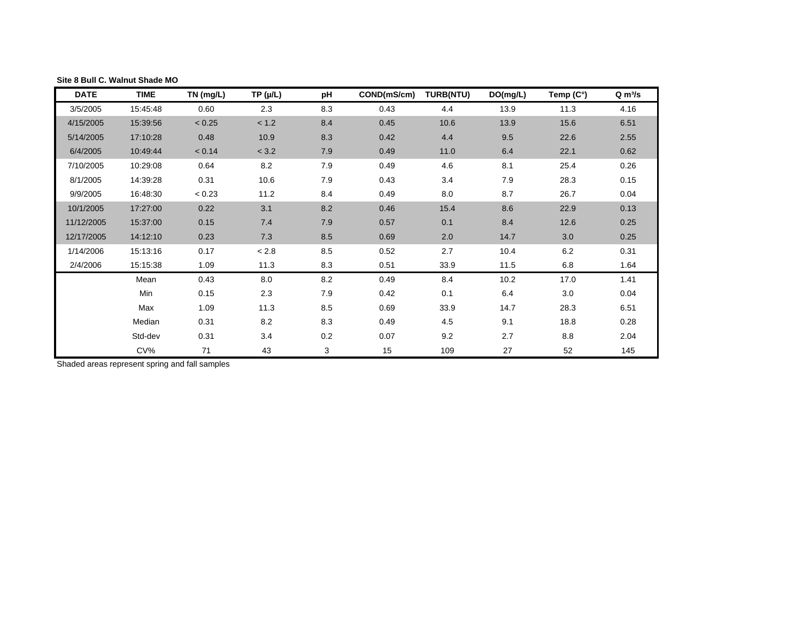| <b>DATE</b> | <b>TIME</b> | TN (mg/L) | $TP(\mu/L)$ | рH      | COND(mS/cm) | <b>TURB(NTU)</b> | DO(mg/L) | Temp (C°) | $Q \, \text{m}^3/\text{s}$ |
|-------------|-------------|-----------|-------------|---------|-------------|------------------|----------|-----------|----------------------------|
| 3/5/2005    | 15:45:48    | 0.60      | 2.3         | 8.3     | 0.43        | 4.4              | 13.9     | 11.3      | 4.16                       |
| 4/15/2005   | 15:39:56    | < 0.25    | < 1.2       | 8.4     | 0.45        | 10.6             | 13.9     | 15.6      | 6.51                       |
| 5/14/2005   | 17:10:28    | 0.48      | 10.9        | 8.3     | 0.42        | 4.4              | 9.5      | 22.6      | 2.55                       |
| 6/4/2005    | 10:49:44    | < 0.14    | < 3.2       | 7.9     | 0.49        | 11.0             | 6.4      | 22.1      | 0.62                       |
| 7/10/2005   | 10:29:08    | 0.64      | 8.2         | 7.9     | 0.49        | 4.6              | 8.1      | 25.4      | 0.26                       |
| 8/1/2005    | 14:39:28    | 0.31      | 10.6        | 7.9     | 0.43        | 3.4              | 7.9      | 28.3      | 0.15                       |
| 9/9/2005    | 16:48:30    | < 0.23    | 11.2        | 8.4     | 0.49        | 8.0              | 8.7      | 26.7      | 0.04                       |
| 10/1/2005   | 17:27:00    | 0.22      | 3.1         | 8.2     | 0.46        | 15.4             | 8.6      | 22.9      | 0.13                       |
| 11/12/2005  | 15:37:00    | 0.15      | 7.4         | 7.9     | 0.57        | 0.1              | 8.4      | 12.6      | 0.25                       |
| 12/17/2005  | 14:12:10    | 0.23      | 7.3         | 8.5     | 0.69        | 2.0              | 14.7     | 3.0       | 0.25                       |
| 1/14/2006   | 15:13:16    | 0.17      | < 2.8       | 8.5     | 0.52        | 2.7              | 10.4     | $6.2\,$   | 0.31                       |
| 2/4/2006    | 15:15:38    | 1.09      | 11.3        | 8.3     | 0.51        | 33.9             | 11.5     | 6.8       | 1.64                       |
|             | Mean        | 0.43      | 8.0         | $8.2\,$ | 0.49        | 8.4              | 10.2     | 17.0      | 1.41                       |
|             | Min         | 0.15      | 2.3         | 7.9     | 0.42        | 0.1              | 6.4      | 3.0       | 0.04                       |
|             | Max         | 1.09      | 11.3        | 8.5     | 0.69        | 33.9             | 14.7     | 28.3      | 6.51                       |
|             | Median      | 0.31      | 8.2         | 8.3     | 0.49        | 4.5              | 9.1      | 18.8      | 0.28                       |
|             | Std-dev     | 0.31      | 3.4         | $0.2\,$ | 0.07        | 9.2              | 2.7      | 8.8       | 2.04                       |
|             | $CV\%$      | 71        | 43          | 3       | 15          | 109              | 27       | 52        | 145                        |

#### <span id="page-12-0"></span>**Site 8 Bull C. Walnut Shade MO**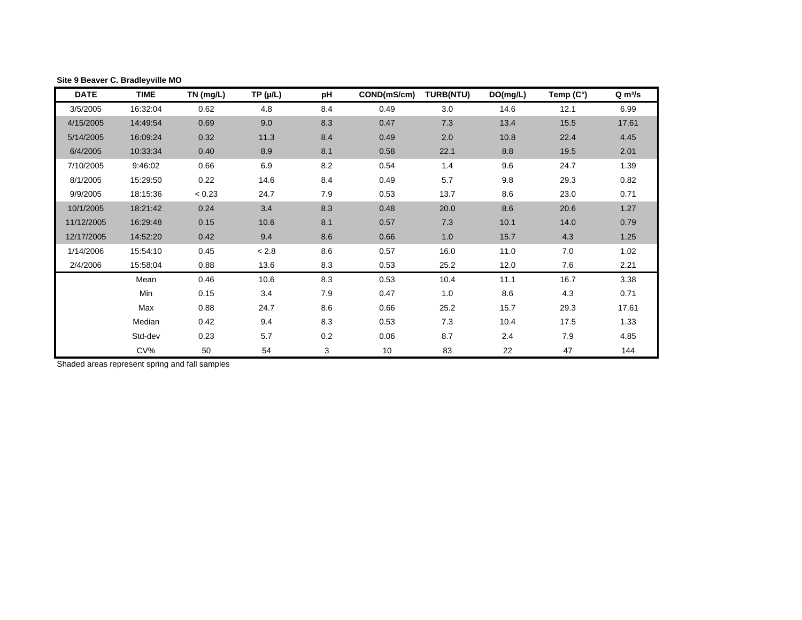| <b>DATE</b> | <b>TIME</b> | TN (mg/L) | $TP(\mu/L)$ | pH  | COND(mS/cm) | <b>TURB(NTU)</b> | DO(mg/L) | Temp (C°) | $Q \, \text{m}^3/\text{s}$ |
|-------------|-------------|-----------|-------------|-----|-------------|------------------|----------|-----------|----------------------------|
| 3/5/2005    | 16:32:04    | 0.62      | 4.8         | 8.4 | 0.49        | 3.0              | 14.6     | 12.1      | 6.99                       |
| 4/15/2005   | 14:49:54    | 0.69      | 9.0         | 8.3 | 0.47        | 7.3              | 13.4     | 15.5      | 17.61                      |
| 5/14/2005   | 16:09:24    | 0.32      | 11.3        | 8.4 | 0.49        | 2.0              | 10.8     | 22.4      | 4.45                       |
| 6/4/2005    | 10:33:34    | 0.40      | 8.9         | 8.1 | 0.58        | 22.1             | 8.8      | 19.5      | 2.01                       |
| 7/10/2005   | 9:46:02     | 0.66      | 6.9         | 8.2 | 0.54        | 1.4              | 9.6      | 24.7      | 1.39                       |
| 8/1/2005    | 15:29:50    | 0.22      | 14.6        | 8.4 | 0.49        | 5.7              | 9.8      | 29.3      | 0.82                       |
| 9/9/2005    | 18:15:36    | < 0.23    | 24.7        | 7.9 | 0.53        | 13.7             | 8.6      | 23.0      | 0.71                       |
| 10/1/2005   | 18:21:42    | 0.24      | 3.4         | 8.3 | 0.48        | 20.0             | 8.6      | 20.6      | 1.27                       |
| 11/12/2005  | 16:29:48    | 0.15      | 10.6        | 8.1 | 0.57        | 7.3              | 10.1     | 14.0      | 0.79                       |
| 12/17/2005  | 14:52:20    | 0.42      | 9.4         | 8.6 | 0.66        | 1.0              | 15.7     | 4.3       | 1.25                       |
| 1/14/2006   | 15:54:10    | 0.45      | $< 2.8$     | 8.6 | 0.57        | 16.0             | 11.0     | 7.0       | 1.02                       |
| 2/4/2006    | 15:58:04    | 0.88      | 13.6        | 8.3 | 0.53        | 25.2             | 12.0     | 7.6       | 2.21                       |
|             | Mean        | 0.46      | 10.6        | 8.3 | 0.53        | 10.4             | 11.1     | 16.7      | 3.38                       |
|             | Min         | 0.15      | 3.4         | 7.9 | 0.47        | 1.0              | 8.6      | 4.3       | 0.71                       |
|             | Max         | 0.88      | 24.7        | 8.6 | 0.66        | 25.2             | 15.7     | 29.3      | 17.61                      |
|             | Median      | 0.42      | 9.4         | 8.3 | 0.53        | 7.3              | 10.4     | 17.5      | 1.33                       |
|             | Std-dev     | 0.23      | 5.7         | 0.2 | 0.06        | 8.7              | 2.4      | 7.9       | 4.85                       |
|             | $CV\%$      | 50        | 54          | 3   | 10          | 83               | 22       | 47        | 144                        |

<span id="page-13-0"></span>**Site 9 Beaver C. Bradleyville MO**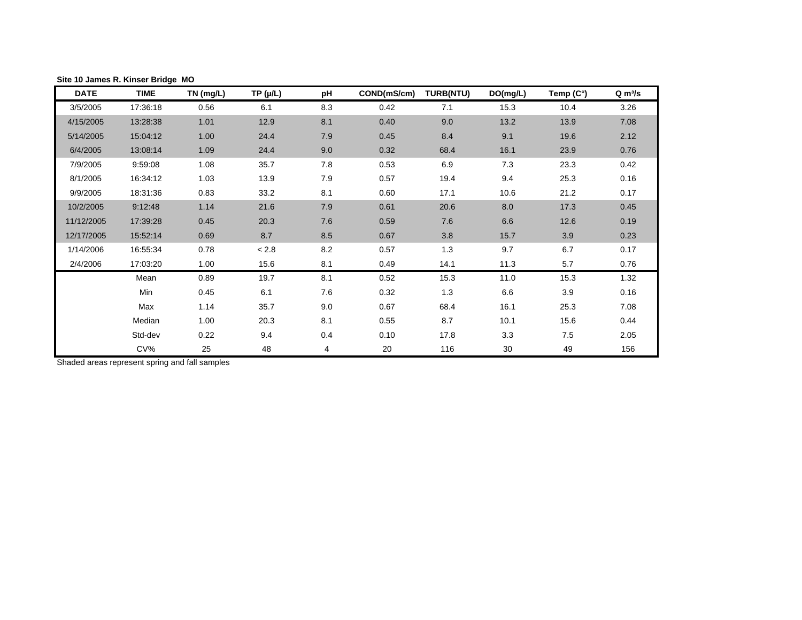| <b>DATE</b> | <b>TIME</b> | $TN$ (mg/L) | TP (µ/L) | рH    | COND(mS/cm) | <b>TURB(NTU)</b> | DO(mg/L) | Temp (C°) | $Q \, \text{m}^3/\text{s}$ |
|-------------|-------------|-------------|----------|-------|-------------|------------------|----------|-----------|----------------------------|
| 3/5/2005    | 17:36:18    | 0.56        | 6.1      | 8.3   | 0.42        | 7.1              | 15.3     | 10.4      | 3.26                       |
| 4/15/2005   | 13:28:38    | 1.01        | 12.9     | 8.1   | 0.40        | 9.0              | 13.2     | 13.9      | 7.08                       |
| 5/14/2005   | 15:04:12    | 1.00        | 24.4     | 7.9   | 0.45        | 8.4              | 9.1      | 19.6      | 2.12                       |
| 6/4/2005    | 13:08:14    | 1.09        | 24.4     | 9.0   | 0.32        | 68.4             | 16.1     | 23.9      | 0.76                       |
| 7/9/2005    | 9:59:08     | 1.08        | 35.7     | 7.8   | 0.53        | 6.9              | 7.3      | 23.3      | 0.42                       |
| 8/1/2005    | 16:34:12    | 1.03        | 13.9     | $7.9$ | 0.57        | 19.4             | 9.4      | 25.3      | 0.16                       |
| 9/9/2005    | 18:31:36    | 0.83        | 33.2     | 8.1   | 0.60        | 17.1             | 10.6     | 21.2      | 0.17                       |
| 10/2/2005   | 9:12:48     | 1.14        | 21.6     | 7.9   | 0.61        | 20.6             | 8.0      | 17.3      | 0.45                       |
| 11/12/2005  | 17:39:28    | 0.45        | 20.3     | 7.6   | 0.59        | 7.6              | 6.6      | 12.6      | 0.19                       |
| 12/17/2005  | 15:52:14    | 0.69        | 8.7      | 8.5   | 0.67        | 3.8              | 15.7     | 3.9       | 0.23                       |
| 1/14/2006   | 16:55:34    | 0.78        | < 2.8    | 8.2   | 0.57        | 1.3              | 9.7      | 6.7       | 0.17                       |
| 2/4/2006    | 17:03:20    | 1.00        | 15.6     | 8.1   | 0.49        | 14.1             | 11.3     | 5.7       | 0.76                       |
|             | Mean        | 0.89        | 19.7     | 8.1   | 0.52        | 15.3             | 11.0     | 15.3      | 1.32                       |
|             | Min         | 0.45        | 6.1      | 7.6   | 0.32        | 1.3              | 6.6      | 3.9       | 0.16                       |
|             | Max         | 1.14        | 35.7     | 9.0   | 0.67        | 68.4             | 16.1     | 25.3      | 7.08                       |
|             | Median      | 1.00        | 20.3     | 8.1   | 0.55        | 8.7              | 10.1     | 15.6      | 0.44                       |
|             | Std-dev     | 0.22        | 9.4      | 0.4   | 0.10        | 17.8             | 3.3      | 7.5       | 2.05                       |
|             | $CV\%$      | 25          | 48       | 4     | 20          | 116              | 30       | 49        | 156                        |

<span id="page-14-0"></span>**Site 10 James R. Kinser Bridge MO**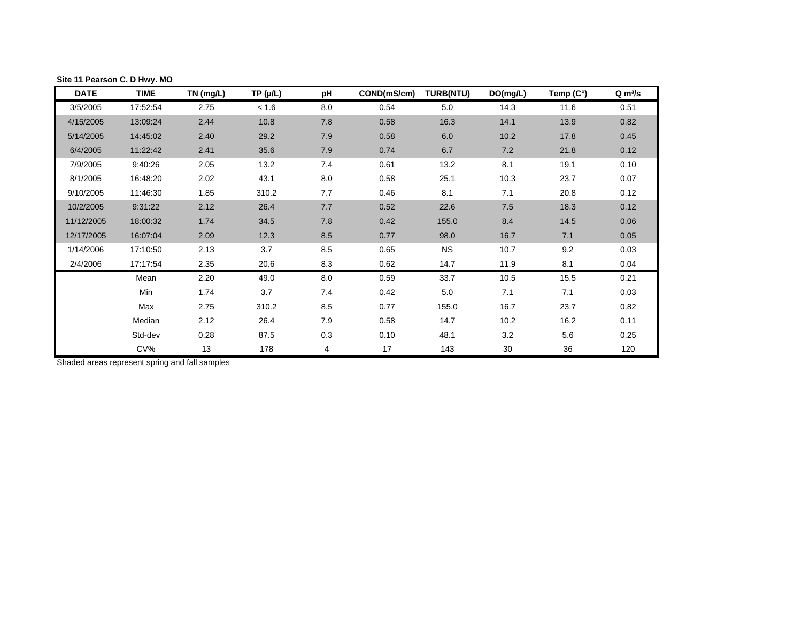| <b>DATE</b> | <b>TIME</b> | TN (mg/L) | TP (µ/L) | рH  | COND(mS/cm) | <b>TURB(NTU)</b> | DO(mg/L) | Temp $(C^\circ)$ | $Q \, m^3/s$ |
|-------------|-------------|-----------|----------|-----|-------------|------------------|----------|------------------|--------------|
| 3/5/2005    | 17:52:54    | 2.75      | < 1.6    | 8.0 | 0.54        | 5.0              | 14.3     | 11.6             | 0.51         |
| 4/15/2005   | 13:09:24    | 2.44      | 10.8     | 7.8 | 0.58        | 16.3             | 14.1     | 13.9             | 0.82         |
| 5/14/2005   | 14:45:02    | 2.40      | 29.2     | 7.9 | 0.58        | 6.0              | 10.2     | 17.8             | 0.45         |
| 6/4/2005    | 11:22:42    | 2.41      | 35.6     | 7.9 | 0.74        | 6.7              | 7.2      | 21.8             | 0.12         |
| 7/9/2005    | 9:40:26     | 2.05      | 13.2     | 7.4 | 0.61        | 13.2             | 8.1      | 19.1             | 0.10         |
| 8/1/2005    | 16:48:20    | 2.02      | 43.1     | 8.0 | 0.58        | 25.1             | 10.3     | 23.7             | 0.07         |
| 9/10/2005   | 11:46:30    | 1.85      | 310.2    | 7.7 | 0.46        | 8.1              | 7.1      | 20.8             | 0.12         |
| 10/2/2005   | 9:31:22     | 2.12      | 26.4     | 7.7 | 0.52        | 22.6             | 7.5      | 18.3             | 0.12         |
| 11/12/2005  | 18:00:32    | 1.74      | 34.5     | 7.8 | 0.42        | 155.0            | 8.4      | 14.5             | 0.06         |
| 12/17/2005  | 16:07:04    | 2.09      | 12.3     | 8.5 | 0.77        | 98.0             | 16.7     | 7.1              | 0.05         |
| 1/14/2006   | 17:10:50    | 2.13      | 3.7      | 8.5 | 0.65        | <b>NS</b>        | 10.7     | 9.2              | 0.03         |
| 2/4/2006    | 17:17:54    | 2.35      | 20.6     | 8.3 | 0.62        | 14.7             | 11.9     | 8.1              | 0.04         |
|             | Mean        | 2.20      | 49.0     | 8.0 | 0.59        | 33.7             | 10.5     | 15.5             | 0.21         |
|             | Min         | 1.74      | 3.7      | 7.4 | 0.42        | 5.0              | 7.1      | 7.1              | 0.03         |
|             | Max         | 2.75      | 310.2    | 8.5 | 0.77        | 155.0            | 16.7     | 23.7             | 0.82         |
|             | Median      | 2.12      | 26.4     | 7.9 | 0.58        | 14.7             | 10.2     | 16.2             | 0.11         |
|             | Std-dev     | 0.28      | 87.5     | 0.3 | 0.10        | 48.1             | 3.2      | 5.6              | 0.25         |
|             | $CV\%$      | 13        | 178      | 4   | 17          | 143              | 30       | 36               | 120          |

### <span id="page-15-0"></span>**Site 11 Pearson C. D Hwy. MO**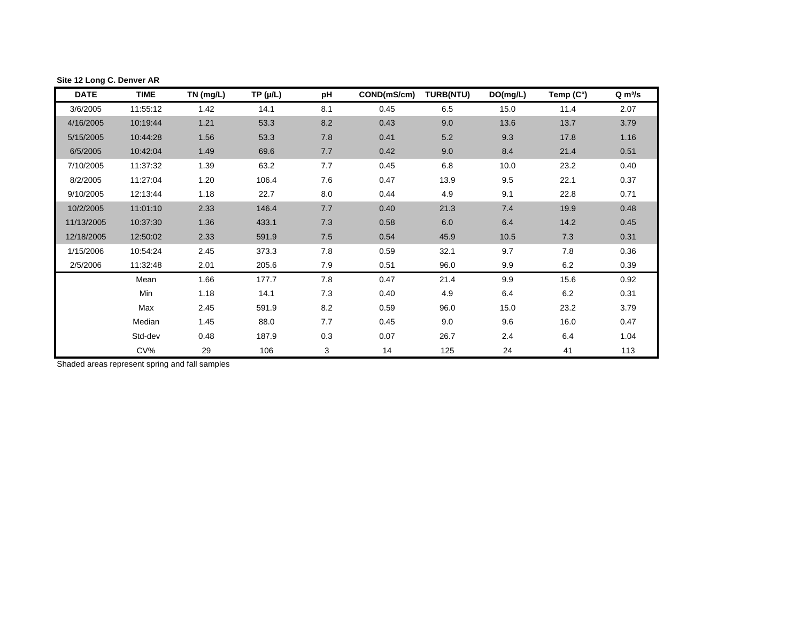| <b>DATE</b> | <b>TIME</b> | TN (mg/L) | $TP(\mu/L)$ | рH  | COND(mS/cm) | <b>TURB(NTU)</b> | DO(mg/L) | Temp (C°) | $Q \, \text{m}^3/\text{s}$ |
|-------------|-------------|-----------|-------------|-----|-------------|------------------|----------|-----------|----------------------------|
| 3/6/2005    | 11:55:12    | 1.42      | 14.1        | 8.1 | 0.45        | 6.5              | 15.0     | 11.4      | 2.07                       |
| 4/16/2005   | 10:19:44    | 1.21      | 53.3        | 8.2 | 0.43        | 9.0              | 13.6     | 13.7      | 3.79                       |
| 5/15/2005   | 10:44:28    | 1.56      | 53.3        | 7.8 | 0.41        | 5.2              | 9.3      | 17.8      | 1.16                       |
| 6/5/2005    | 10:42:04    | 1.49      | 69.6        | 7.7 | 0.42        | 9.0              | 8.4      | 21.4      | 0.51                       |
| 7/10/2005   | 11:37:32    | 1.39      | 63.2        | 7.7 | 0.45        | 6.8              | 10.0     | 23.2      | 0.40                       |
| 8/2/2005    | 11:27:04    | 1.20      | 106.4       | 7.6 | 0.47        | 13.9             | 9.5      | 22.1      | 0.37                       |
| 9/10/2005   | 12:13:44    | 1.18      | 22.7        | 8.0 | 0.44        | 4.9              | 9.1      | 22.8      | 0.71                       |
| 10/2/2005   | 11:01:10    | 2.33      | 146.4       | 7.7 | 0.40        | 21.3             | 7.4      | 19.9      | 0.48                       |
| 11/13/2005  | 10:37:30    | 1.36      | 433.1       | 7.3 | 0.58        | 6.0              | 6.4      | 14.2      | 0.45                       |
| 12/18/2005  | 12:50:02    | 2.33      | 591.9       | 7.5 | 0.54        | 45.9             | 10.5     | 7.3       | 0.31                       |
| 1/15/2006   | 10:54:24    | 2.45      | 373.3       | 7.8 | 0.59        | 32.1             | 9.7      | 7.8       | 0.36                       |
| 2/5/2006    | 11:32:48    | 2.01      | 205.6       | 7.9 | 0.51        | 96.0             | 9.9      | 6.2       | 0.39                       |
|             | Mean        | 1.66      | 177.7       | 7.8 | 0.47        | 21.4             | 9.9      | 15.6      | 0.92                       |
|             | Min         | 1.18      | 14.1        | 7.3 | 0.40        | 4.9              | 6.4      | 6.2       | 0.31                       |
|             | Max         | 2.45      | 591.9       | 8.2 | 0.59        | 96.0             | 15.0     | 23.2      | 3.79                       |
|             | Median      | 1.45      | 88.0        | 7.7 | 0.45        | 9.0              | 9.6      | 16.0      | 0.47                       |
|             | Std-dev     | 0.48      | 187.9       | 0.3 | 0.07        | 26.7             | 2.4      | 6.4       | 1.04                       |
|             | $CV\%$      | 29        | 106         | 3   | 14          | 125              | 24       | 41        | 113                        |

## <span id="page-16-0"></span>**Site 12 Long C. Denver AR**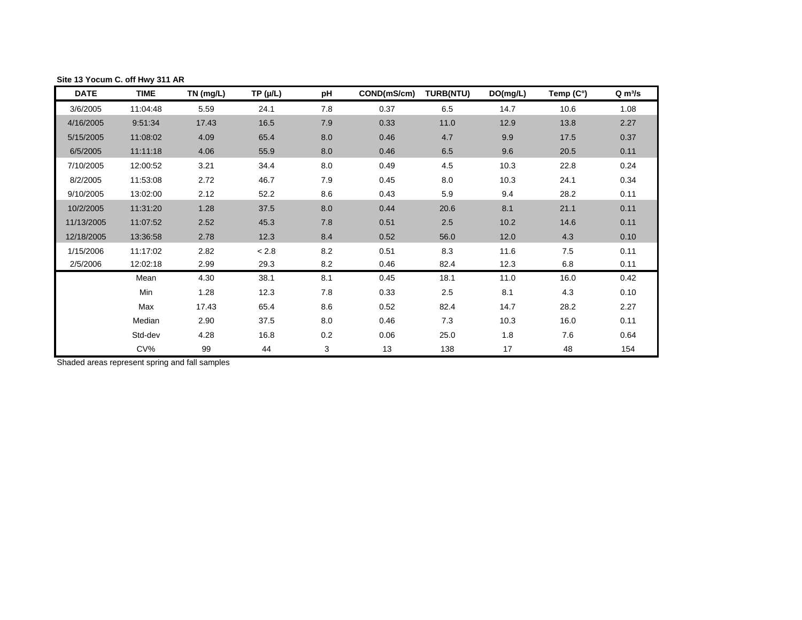| <b>DATE</b> | <b>TIME</b> | TN (mg/L) | $TP(\mu/L)$ | рH      | COND(mS/cm) | <b>TURB(NTU)</b> | DO(mg/L) | Temp (C°) | $Q \, \text{m}^3/\text{s}$ |
|-------------|-------------|-----------|-------------|---------|-------------|------------------|----------|-----------|----------------------------|
| 3/6/2005    | 11:04:48    | 5.59      | 24.1        | 7.8     | 0.37        | 6.5              | 14.7     | 10.6      | 1.08                       |
| 4/16/2005   | 9:51:34     | 17.43     | 16.5        | 7.9     | 0.33        | 11.0             | 12.9     | 13.8      | 2.27                       |
| 5/15/2005   | 11:08:02    | 4.09      | 65.4        | 8.0     | 0.46        | 4.7              | 9.9      | 17.5      | 0.37                       |
| 6/5/2005    | 11:11:18    | 4.06      | 55.9        | 8.0     | 0.46        | 6.5              | 9.6      | 20.5      | 0.11                       |
| 7/10/2005   | 12:00:52    | 3.21      | 34.4        | 8.0     | 0.49        | 4.5              | 10.3     | 22.8      | 0.24                       |
| 8/2/2005    | 11:53:08    | 2.72      | 46.7        | 7.9     | 0.45        | 8.0              | 10.3     | 24.1      | 0.34                       |
| 9/10/2005   | 13:02:00    | 2.12      | 52.2        | 8.6     | 0.43        | 5.9              | 9.4      | 28.2      | 0.11                       |
| 10/2/2005   | 11:31:20    | 1.28      | 37.5        | 8.0     | 0.44        | 20.6             | 8.1      | 21.1      | 0.11                       |
| 11/13/2005  | 11:07:52    | 2.52      | 45.3        | 7.8     | 0.51        | 2.5              | 10.2     | 14.6      | 0.11                       |
| 12/18/2005  | 13:36:58    | 2.78      | 12.3        | 8.4     | 0.52        | 56.0             | 12.0     | 4.3       | 0.10                       |
| 1/15/2006   | 11:17:02    | 2.82      | < 2.8       | 8.2     | 0.51        | 8.3              | 11.6     | 7.5       | 0.11                       |
| 2/5/2006    | 12:02:18    | 2.99      | 29.3        | 8.2     | 0.46        | 82.4             | 12.3     | 6.8       | 0.11                       |
|             | Mean        | 4.30      | 38.1        | 8.1     | 0.45        | 18.1             | 11.0     | 16.0      | 0.42                       |
|             | Min         | 1.28      | 12.3        | 7.8     | 0.33        | 2.5              | 8.1      | 4.3       | 0.10                       |
|             | Max         | 17.43     | 65.4        | 8.6     | 0.52        | 82.4             | 14.7     | 28.2      | 2.27                       |
|             | Median      | 2.90      | 37.5        | 8.0     | 0.46        | 7.3              | 10.3     | 16.0      | 0.11                       |
|             | Std-dev     | 4.28      | 16.8        | $0.2\,$ | 0.06        | 25.0             | 1.8      | 7.6       | 0.64                       |
|             | $CV\%$      | 99        | 44          | 3       | 13          | 138              | 17       | 48        | 154                        |

<span id="page-17-0"></span>**Site 13 Yocum C. off Hwy 311 AR**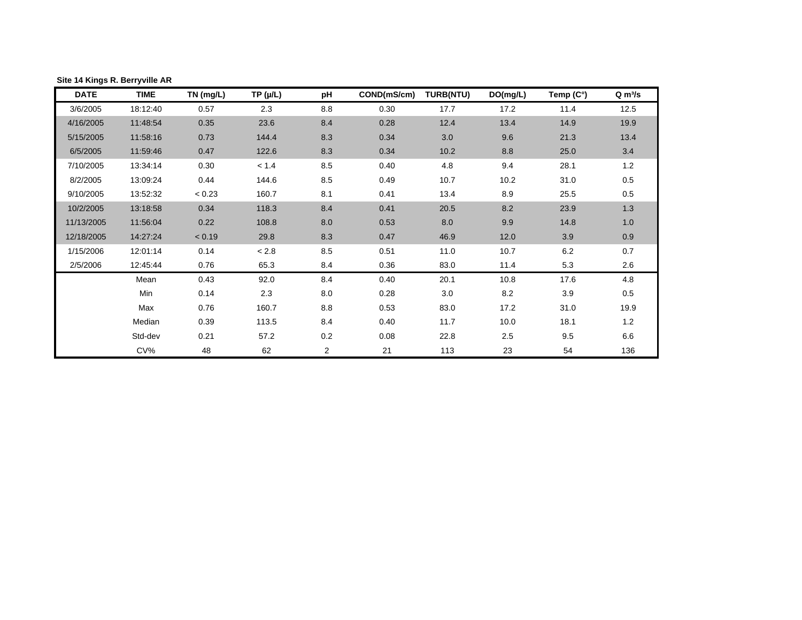| <b>DATE</b> | <b>TIME</b> | TN (mg/L) | $TP(\mu/L)$ | pH             | COND(mS/cm) | <b>TURB(NTU)</b> | DO(mg/L) | Temp (C°) | $Q \, \text{m}^3/\text{s}$ |
|-------------|-------------|-----------|-------------|----------------|-------------|------------------|----------|-----------|----------------------------|
| 3/6/2005    | 18:12:40    | 0.57      | 2.3         | 8.8            | 0.30        | 17.7             | 17.2     | 11.4      | 12.52                      |
| 4/16/2005   | 11:48:54    | 0.35      | 23.6        | 8.4            | 0.28        | 12.4             | 13.4     | 14.9      | 19.85                      |
| 5/15/2005   | 11:58:16    | 0.73      | 144.4       | 8.3            | 0.34        | 3.0              | 9.6      | 21.3      | 13.42                      |
| 6/5/2005    | 11:59:46    | 0.47      | 122.6       | 8.3            | 0.34        | 10.2             | 8.8      | 25.0      | 3.43                       |
| 7/10/2005   | 13:34:14    | 0.30      | < 1.4       | 8.5            | 0.40        | 4.8              | 9.4      | 28.1      | 1.19                       |
| 8/2/2005    | 13:09:24    | 0.44      | 144.6       | 8.5            | 0.49        | 10.7             | 10.2     | 31.0      | 0.54                       |
| 9/10/2005   | 13:52:32    | < 0.23    | 160.7       | 8.1            | 0.41        | 13.4             | 8.9      | 25.5      | 0.51                       |
| 10/2/2005   | 13:18:58    | 0.34      | 118.3       | 8.4            | 0.41        | 20.5             | 8.2      | 23.9      | 1.27                       |
| 11/13/2005  | 11:56:04    | 0.22      | 108.8       | 8.0            | 0.53        | 8.0              | 9.9      | 14.8      | 0.96                       |
| 12/18/2005  | 14:27:24    | < 0.19    | 29.8        | 8.3            | 0.47        | 46.9             | 12.0     | 3.9       | 0.88                       |
| 1/15/2006   | 12:01:14    | 0.14      | $< 2.8$     | 8.5            | 0.51        | 11.0             | 10.7     | 6.2       | 0.68                       |
| 2/5/2006    | 12:45:44    | 0.76      | 65.3        | 8.4            | 0.36        | 83.0             | 11.4     | 5.3       | 2.61                       |
|             | Mean        | 0.43      | 92.0        | 8.4            | 0.40        | 20.1             | 10.8     | 17.6      | 4.82                       |
|             | Min         | 0.14      | 2.3         | 8.0            | 0.28        | 3.0              | 8.2      | 3.9       | 0.51                       |
|             | Max         | 0.76      | 160.7       | 8.8            | 0.53        | 83.0             | 17.2     | 31.0      | 19.85                      |
|             | Median      | 0.39      | 113.5       | 8.4            | 0.40        | 11.7             | 10.0     | 18.1      | 1.23                       |
|             | Std-dev     | 0.21      | 57.2        | $0.2\,$        | 0.08        | 22.8             | 2.5      | 9.5       | 6.58                       |
|             | $CV\%$      | 48        | 62          | $\overline{2}$ | 21          | 113              | 23       | 54        | 136                        |

<span id="page-18-0"></span>**Site 14 Kings R. Berryville AR**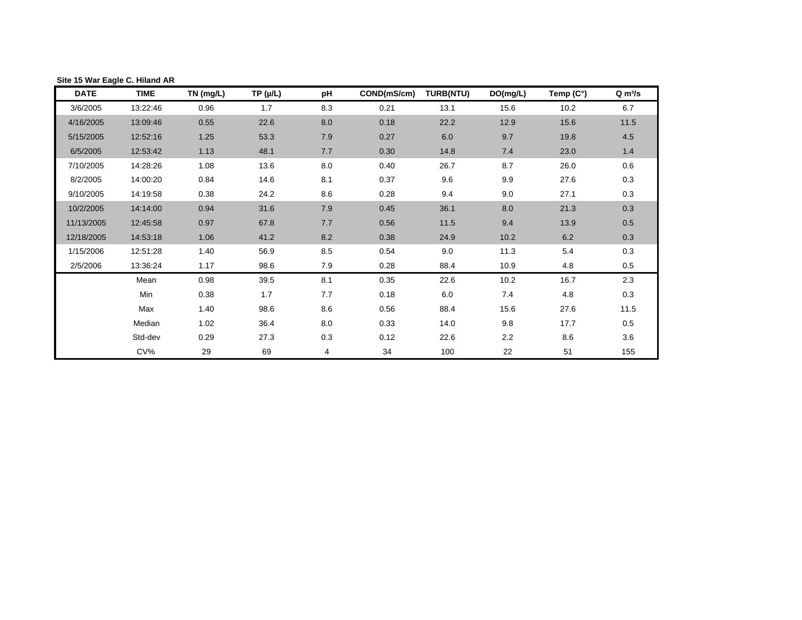| <b>DATE</b> | <b>TIME</b> | TN (mg/L) | $TP(\mu/L)$ | рH  | COND(mS/cm) | <b>TURB(NTU)</b> | DO(mg/L) | Temp (C°) | Q m <sup>3</sup> /s |
|-------------|-------------|-----------|-------------|-----|-------------|------------------|----------|-----------|---------------------|
| 3/6/2005    | 13:22:46    | 0.96      | 1.7         | 8.3 | 0.21        | 13.1             | 15.6     | 10.2      | 6.71                |
| 4/16/2005   | 13:09:46    | 0.55      | 22.6        | 8.0 | 0.18        | 22.2             | 12.9     | 15.6      | 11.52               |
| 5/15/2005   | 12:52:16    | 1.25      | 53.3        | 7.9 | 0.27        | 6.0              | 9.7      | 19.8      | 4.53                |
| 6/5/2005    | 12:53:42    | 1.13      | 48.1        | 7.7 | 0.30        | 14.8             | 7.4      | 23.0      | 1.42                |
| 7/10/2005   | 14:28:26    | 1.08      | 13.6        | 8.0 | 0.40        | 26.7             | 8.7      | 26.0      | 0.62                |
| 8/2/2005    | 14:00:20    | 0.84      | 14.6        | 8.1 | 0.37        | 9.6              | 9.9      | 27.6      | 0.34                |
| 9/10/2005   | 14:19:58    | 0.38      | 24.2        | 8.6 | 0.28        | 9.4              | 9.0      | 27.1      | 0.31                |
| 10/2/2005   | 14:14:00    | 0.94      | 31.6        | 7.9 | 0.45        | 36.1             | 8.0      | 21.3      | 0.31                |
| 11/13/2005  | 12:45:58    | 0.97      | 67.8        | 7.7 | 0.56        | 11.5             | 9.4      | 13.9      | 0.54                |
| 12/18/2005  | 14:53:18    | 1.06      | 41.2        | 8.2 | 0.38        | 24.9             | 10.2     | 6.2       | 0.31                |
| 1/15/2006   | 12:51:28    | 1.40      | 56.9        | 8.5 | 0.54        | 9.0              | 11.3     | 5.4       | 0.31                |
| 2/5/2006    | 13:36:24    | 1.17      | 98.6        | 7.9 | 0.28        | 88.4             | 10.9     | 4.8       | 0.54                |
|             | Mean        | 0.98      | 39.5        | 8.1 | 0.35        | 22.6             | 10.2     | 16.7      | 2.29                |
|             | Min         | 0.38      | 1.7         | 7.7 | 0.18        | 6.0              | 7.4      | 4.8       | 0.31                |
|             | Max         | 1.40      | 98.6        | 8.6 | 0.56        | 88.4             | 15.6     | 27.6      | 11.52               |
|             | Median      | 1.02      | 36.4        | 8.0 | 0.33        | 14.0             | 9.8      | 17.7      | 0.54                |
|             | Std-dev     | 0.29      | 27.3        | 0.3 | 0.12        | 22.6             | 2.2      | 8.6       | 3.55                |
|             | $CV\%$      | 29        | 69          | 4   | 34          | 100              | 22       | 51        | 155                 |

### <span id="page-19-0"></span>**Site 15 War Eagle C. Hiland AR**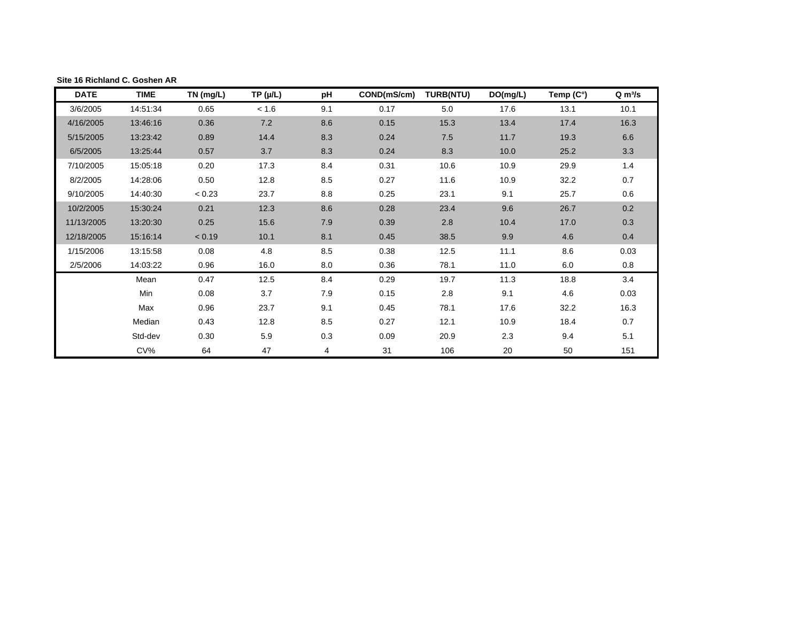| <b>DATE</b> | <b>TIME</b> | TN (mg/L) | $TP(\mu/L)$ | рH  | COND(mS/cm) | <b>TURB(NTU)</b> | DO(mg/L) | Temp (C°) | $Q \, \text{m}^3/\text{s}$ |
|-------------|-------------|-----------|-------------|-----|-------------|------------------|----------|-----------|----------------------------|
| 3/6/2005    | 14:51:34    | 0.65      | < 1.6       | 9.1 | 0.17        | 5.0              | 17.6     | 13.1      | 10.11                      |
| 4/16/2005   | 13:46:16    | 0.36      | 7.2         | 8.6 | 0.15        | 15.3             | 13.4     | 17.4      | 16.32                      |
| 5/15/2005   | 13:23:42    | 0.89      | 14.4        | 8.3 | 0.24        | 7.5              | 11.7     | 19.3      | 6.59                       |
| 6/5/2005    | 13:25:44    | 0.57      | 3.7         | 8.3 | 0.24        | 8.3              | 10.0     | 25.2      | 3.29                       |
| 7/10/2005   | 15:05:18    | 0.20      | 17.3        | 8.4 | 0.31        | 10.6             | 10.9     | 29.9      | 1.40                       |
| 8/2/2005    | 14:28:06    | 0.50      | 12.8        | 8.5 | 0.27        | 11.6             | 10.9     | 32.2      | 0.65                       |
| 9/10/2005   | 14:40:30    | < 0.23    | 23.7        | 8.8 | 0.25        | 23.1             | 9.1      | 25.7      | 0.60                       |
| 10/2/2005   | 15:30:24    | 0.21      | 12.3        | 8.6 | 0.28        | 23.4             | 9.6      | 26.7      | 0.20                       |
| 11/13/2005  | 13:20:30    | 0.25      | 15.6        | 7.9 | 0.39        | 2.8              | 10.4     | 17.0      | 0.30                       |
| 12/18/2005  | 15:16:14    | < 0.19    | 10.1        | 8.1 | 0.45        | 38.5             | 9.9      | 4.6       | 0.40                       |
| 1/15/2006   | 13:15:58    | 0.08      | 4.8         | 8.5 | 0.38        | 12.5             | 11.1     | 8.6       | 0.03                       |
| 2/5/2006    | 14:03:22    | 0.96      | 16.0        | 8.0 | 0.36        | 78.1             | 11.0     | 6.0       | 0.78                       |
|             | Mean        | 0.47      | 12.5        | 8.4 | 0.29        | 19.7             | 11.3     | 18.8      | 3.39                       |
|             | Min         | 0.08      | 3.7         | 7.9 | 0.15        | 2.8              | 9.1      | 4.6       | 0.03                       |
|             | Max         | 0.96      | 23.7        | 9.1 | 0.45        | 78.1             | 17.6     | 32.2      | 16.32                      |
|             | Median      | 0.43      | 12.8        | 8.5 | 0.27        | 12.1             | 10.9     | 18.4      | 0.72                       |
|             | Std-dev     | 0.30      | 5.9         | 0.3 | 0.09        | 20.9             | 2.3      | 9.4       | 5.12                       |
|             | $CV\%$      | 64        | 47          | 4   | 31          | 106              | 20       | 50        | 151                        |

#### <span id="page-20-0"></span>**Site 16 Richland C. Goshen AR**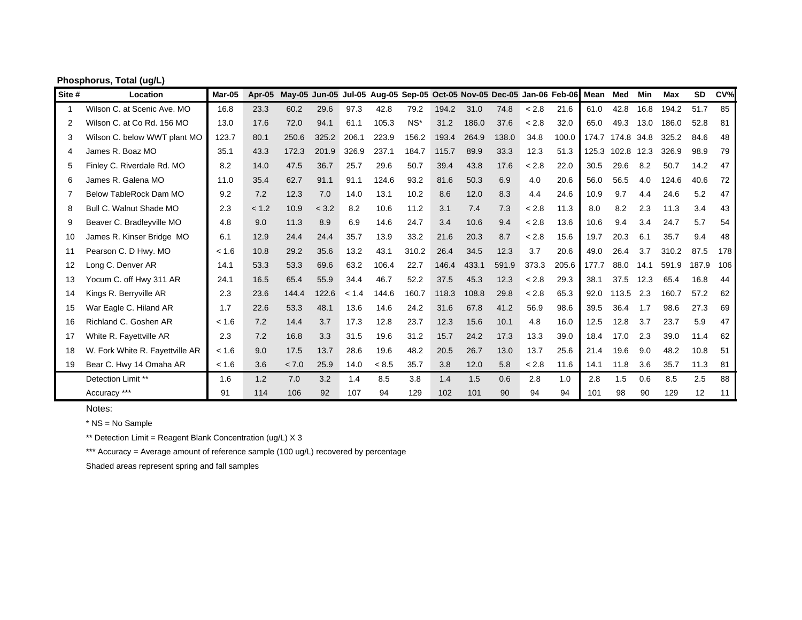| Site #         | Location                        | Mar-05 | Apr-05 | May-05 Jun-05 Jul-05 Aug-05 Sep-05 Oct-05 Nov-05 Dec-05 Jan-06 Feb-06 Mean Med |       |       |       |       |       |       |       |       |       |       |       | Min  | Max   | <b>SD</b> | CV <sub>0</sub> |
|----------------|---------------------------------|--------|--------|--------------------------------------------------------------------------------|-------|-------|-------|-------|-------|-------|-------|-------|-------|-------|-------|------|-------|-----------|-----------------|
| 1              | Wilson C. at Scenic Ave. MO     | 16.8   | 23.3   | 60.2                                                                           | 29.6  | 97.3  | 42.8  | 79.2  | 194.2 | 31.0  | 74.8  | < 2.8 | 21.6  | 61.0  | 42.8  | 16.8 | 194.2 | 51.7      | 85              |
| $\overline{2}$ | Wilson C. at Co Rd. 156 MO      | 13.0   | 17.6   | 72.0                                                                           | 94.1  | 61.1  | 105.3 | $NS*$ | 31.2  | 186.0 | 37.6  | < 2.8 | 32.0  | 65.0  | 49.3  | 13.0 | 186.0 | 52.8      | 81              |
| 3              | Wilson C. below WWT plant MO    | 123.7  | 80.1   | 250.6                                                                          | 325.2 | 206.1 | 223.9 | 156.2 | 193.4 | 264.9 | 138.0 | 34.8  | 100.0 | 174.7 | 174.8 | 34.8 | 325.2 | 84.6      | 48              |
| 4              | James R. Boaz MO                | 35.1   | 43.3   | 172.3                                                                          | 201.9 | 326.9 | 237.1 | 184.7 | 115.7 | 89.9  | 33.3  | 12.3  | 51.3  | 125.3 | 102.8 | 12.3 | 326.9 | 98.9      | 79              |
| 5              | Finley C. Riverdale Rd. MO      | 8.2    | 14.0   | 47.5                                                                           | 36.7  | 25.7  | 29.6  | 50.7  | 39.4  | 43.8  | 17.6  | < 2.8 | 22.0  | 30.5  | 29.6  | 8.2  | 50.7  | 14.2      | 47              |
| 6              | James R. Galena MO              | 11.0   | 35.4   | 62.7                                                                           | 91.1  | 91.1  | 124.6 | 93.2  | 81.6  | 50.3  | 6.9   | 4.0   | 20.6  | 56.0  | 56.5  | 4.0  | 124.6 | 40.6      | 72              |
|                | Below TableRock Dam MO          | 9.2    | 7.2    | 12.3                                                                           | 7.0   | 14.0  | 13.1  | 10.2  | 8.6   | 12.0  | 8.3   | 4.4   | 24.6  | 10.9  | 9.7   | 4.4  | 24.6  | 5.2       | 47              |
| 8              | Bull C. Walnut Shade MO         | 2.3    | < 1.2  | 10.9                                                                           | < 3.2 | 8.2   | 10.6  | 11.2  | 3.1   | 7.4   | 7.3   | < 2.8 | 11.3  | 8.0   | 8.2   | 2.3  | 11.3  | 3.4       | 43              |
| 9              | Beaver C. Bradleyville MO       | 4.8    | 9.0    | 11.3                                                                           | 8.9   | 6.9   | 14.6  | 24.7  | 3.4   | 10.6  | 9.4   | < 2.8 | 13.6  | 10.6  | 9.4   | 3.4  | 24.7  | 5.7       | 54              |
| 10             | James R. Kinser Bridge MO       | 6.1    | 12.9   | 24.4                                                                           | 24.4  | 35.7  | 13.9  | 33.2  | 21.6  | 20.3  | 8.7   | < 2.8 | 15.6  | 19.7  | 20.3  | 6.1  | 35.7  | 9.4       | 48              |
| 11             | Pearson C. D Hwy. MO            | < 1.6  | 10.8   | 29.2                                                                           | 35.6  | 13.2  | 43.1  | 310.2 | 26.4  | 34.5  | 12.3  | 3.7   | 20.6  | 49.0  | 26.4  | 3.7  | 310.2 | 87.5      | 178             |
| 12             | Long C. Denver AR               | 14.1   | 53.3   | 53.3                                                                           | 69.6  | 63.2  | 106.4 | 22.7  | 146.4 | 433.1 | 591.9 | 373.3 | 205.6 | 177.7 | 88.0  | 14.1 | 591.9 | 187.9     | 106             |
| 13             | Yocum C. off Hwy 311 AR         | 24.1   | 16.5   | 65.4                                                                           | 55.9  | 34.4  | 46.7  | 52.2  | 37.5  | 45.3  | 12.3  | < 2.8 | 29.3  | 38.1  | 37.5  | 12.3 | 65.4  | 16.8      | 44              |
| 14             | Kings R. Berryville AR          | 2.3    | 23.6   | 144.4                                                                          | 122.6 | < 1.4 | 144.6 | 160.7 | 118.3 | 108.8 | 29.8  | < 2.8 | 65.3  | 92.0  | 113.5 | 2.3  | 160.7 | 57.2      | 62              |
| 15             | War Eagle C. Hiland AR          | 1.7    | 22.6   | 53.3                                                                           | 48.1  | 13.6  | 14.6  | 24.2  | 31.6  | 67.8  | 41.2  | 56.9  | 98.6  | 39.5  | 36.4  | 1.7  | 98.6  | 27.3      | 69              |
| 16             | Richland C. Goshen AR           | < 1.6  | 7.2    | 14.4                                                                           | 3.7   | 17.3  | 12.8  | 23.7  | 12.3  | 15.6  | 10.1  | 4.8   | 16.0  | 12.5  | 12.8  | 3.7  | 23.7  | 5.9       | 47              |
| 17             | White R. Fayettville AR         | 2.3    | 7.2    | 16.8                                                                           | 3.3   | 31.5  | 19.6  | 31.2  | 15.7  | 24.2  | 17.3  | 13.3  | 39.0  | 18.4  | 17.0  | 2.3  | 39.0  | 11.4      | 62              |
| 18             | W. Fork White R. Fayettville AR | < 1.6  | 9.0    | 17.5                                                                           | 13.7  | 28.6  | 19.6  | 48.2  | 20.5  | 26.7  | 13.0  | 13.7  | 25.6  | 21.4  | 19.6  | 9.0  | 48.2  | 10.8      | 51              |
| 19             | Bear C. Hwy 14 Omaha AR         | < 1.6  | 3.6    | < 7.0                                                                          | 25.9  | 14.0  | < 8.5 | 35.7  | 3.8   | 12.0  | 5.8   | < 2.8 | 11.6  | 14.1  | 11.8  | 3.6  | 35.7  | 11.3      | 81              |
|                | Detection Limit **              | 1.6    | 1.2    | 7.0                                                                            | 3.2   | 1.4   | 8.5   | 3.8   | 1.4   | 1.5   | 0.6   | 2.8   | 1.0   | 2.8   | 1.5   | 0.6  | 8.5   | 2.5       | 88              |
|                | Accuracy ***                    | 91     | 114    | 106                                                                            | 92    | 107   | 94    | 129   | 102   | 101   | 90    | 94    | 94    | 101   | 98    | 90   | 129   | 12        | 11              |

## **Phosphorus, Total (ug/L)**

Notes:

\* NS = No Sample

\*\* Detection Limit = Reagent Blank Concentration (ug/L) X 3

\*\*\* Accuracy = Average amount of reference sample (100 ug/L) recovered by percentage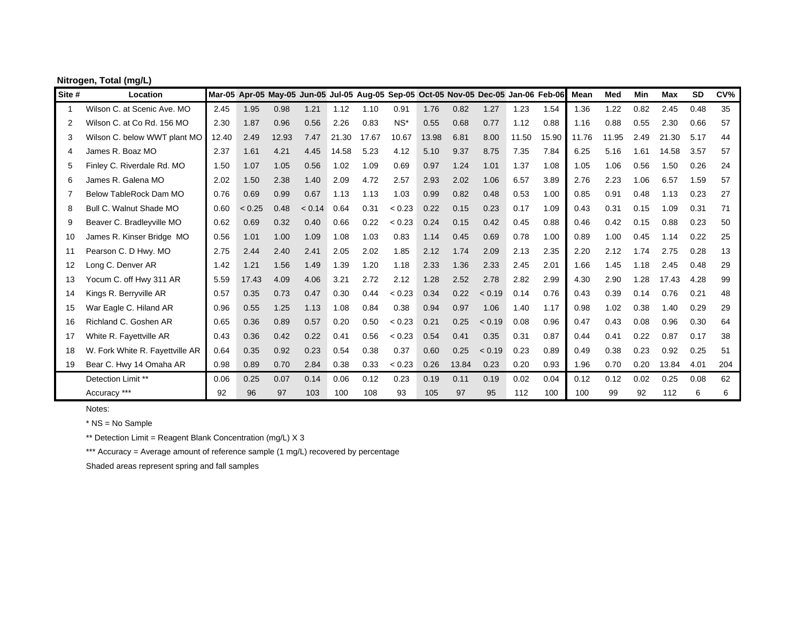|                | Nitrogen, Total (mg/L)          |       |        |       |        |       |       |        |       |       |                                                                                     |       |       |             |       |      |            |           |     |
|----------------|---------------------------------|-------|--------|-------|--------|-------|-------|--------|-------|-------|-------------------------------------------------------------------------------------|-------|-------|-------------|-------|------|------------|-----------|-----|
| Site #         | Location                        |       |        |       |        |       |       |        |       |       | Mar-05 Apr-05 May-05 Jun-05 Jul-05 Aug-05 Sep-05 Oct-05 Nov-05 Dec-05 Jan-06 Feb-06 |       |       | <b>Mean</b> | Med   | Min  | <b>Max</b> | <b>SD</b> | CV% |
| -1             | Wilson C. at Scenic Ave. MO     | 2.45  | 1.95   | 0.98  | 1.21   | 1.12  | 1.10  | 0.91   | 1.76  | 0.82  | 1.27                                                                                | 1.23  | 1.54  | 1.36        | 1.22  | 0.82 | 2.45       | 0.48      | 35  |
| $\overline{2}$ | Wilson C. at Co Rd. 156 MO      | 2.30  | 1.87   | 0.96  | 0.56   | 2.26  | 0.83  | $NS^*$ | 0.55  | 0.68  | 0.77                                                                                | 1.12  | 0.88  | 1.16        | 0.88  | 0.55 | 2.30       | 0.66      | 57  |
| 3              | Wilson C. below WWT plant MO    | 12.40 | 2.49   | 12.93 | 7.47   | 21.30 | 17.67 | 10.67  | 13.98 | 6.81  | 8.00                                                                                | 11.50 | 15.90 | 11.76       | 11.95 | 2.49 | .30<br>21  | 5.17      | 44  |
| $\overline{4}$ | James R. Boaz MO                | 2.37  | 1.61   | 4.21  | 4.45   | 14.58 | 5.23  | 4.12   | 5.10  | 9.37  | 8.75                                                                                | 7.35  | 7.84  | 6.25        | 5.16  | 1.61 | 14.58      | 3.57      | 57  |
| 5              | Finley C. Riverdale Rd. MO      | 1.50  | 1.07   | 1.05  | 0.56   | 1.02  | 1.09  | 0.69   | 0.97  | 1.24  | 1.01                                                                                | 1.37  | 1.08  | 1.05        | 1.06  | 0.56 | 1.50       | 0.26      | 24  |
| 6              | James R. Galena MO              | 2.02  | 1.50   | 2.38  | 1.40   | 2.09  | 4.72  | 2.57   | 2.93  | 2.02  | 1.06                                                                                | 6.57  | 3.89  | 2.76        | 2.23  | 1.06 | 6.57       | 1.59      | 57  |
| 7              | Below TableRock Dam MO          | 0.76  | 0.69   | 0.99  | 0.67   | 1.13  | 1.13  | 1.03   | 0.99  | 0.82  | 0.48                                                                                | 0.53  | 1.00  | 0.85        | 0.91  | 0.48 | 1.13       | 0.23      | 27  |
| 8              | Bull C. Walnut Shade MO         | 0.60  | < 0.25 | 0.48  | < 0.14 | 0.64  | 0.31  | < 0.23 | 0.22  | 0.15  | 0.23                                                                                | 0.17  | 1.09  | 0.43        | 0.31  | 0.15 | 1.09       | 0.31      | 71  |
| 9              | Beaver C. Bradleyville MO       | 0.62  | 0.69   | 0.32  | 0.40   | 0.66  | 0.22  | < 0.23 | 0.24  | 0.15  | 0.42                                                                                | 0.45  | 0.88  | 0.46        | 0.42  | 0.15 | 0.88       | 0.23      | 50  |
| 10             | James R. Kinser Bridge MO       | 0.56  | 1.01   | 1.00  | 1.09   | 1.08  | 1.03  | 0.83   | 1.14  | 0.45  | 0.69                                                                                | 0.78  | 1.00  | 0.89        | 1.00  | 0.45 | 1.14       | 0.22      | 25  |
| 11             | Pearson C. D Hwy. MO            | 2.75  | 2.44   | 2.40  | 2.41   | 2.05  | 2.02  | 1.85   | 2.12  | 1.74  | 2.09                                                                                | 2.13  | 2.35  | 2.20        | 2.12  | 1.74 | 2.75       | 0.28      | 13  |
| 12             | Long C. Denver AR               | 1.42  | 1.21   | 1.56  | 1.49   | 1.39  | 1.20  | 1.18   | 2.33  | 1.36  | 2.33                                                                                | 2.45  | 2.01  | 1.66        | 1.45  | 1.18 | 2.45       | 0.48      | 29  |
| 13             | Yocum C. off Hwy 311 AR         | 5.59  | 17.43  | 4.09  | 4.06   | 3.21  | 2.72  | 2.12   | 1.28  | 2.52  | 2.78                                                                                | 2.82  | 2.99  | 4.30        | 2.90  | 1.28 | 17.43      | 4.28      | 99  |
| 14             | Kings R. Berryville AR          | 0.57  | 0.35   | 0.73  | 0.47   | 0.30  | 0.44  | < 0.23 | 0.34  | 0.22  | < 0.19                                                                              | 0.14  | 0.76  | 0.43        | 0.39  | 0.14 | 0.76       | 0.21      | 48  |
| 15             | War Eagle C. Hiland AR          | 0.96  | 0.55   | 1.25  | 1.13   | 1.08  | 0.84  | 0.38   | 0.94  | 0.97  | 1.06                                                                                | 1.40  | 1.17  | 0.98        | 1.02  | 0.38 | 1.40       | 0.29      | 29  |
| 16             | Richland C. Goshen AR           | 0.65  | 0.36   | 0.89  | 0.57   | 0.20  | 0.50  | < 0.23 | 0.21  | 0.25  | < 0.19                                                                              | 0.08  | 0.96  | 0.47        | 0.43  | 0.08 | 0.96       | 0.30      | 64  |
| 17             | White R. Fayettville AR         | 0.43  | 0.36   | 0.42  | 0.22   | 0.41  | 0.56  | < 0.23 | 0.54  | 0.41  | 0.35                                                                                | 0.31  | 0.87  | 0.44        | 0.41  | 0.22 | 0.87       | 0.17      | 38  |
| 18             | W. Fork White R. Fayettville AR | 0.64  | 0.35   | 0.92  | 0.23   | 0.54  | 0.38  | 0.37   | 0.60  | 0.25  | < 0.19                                                                              | 0.23  | 0.89  | 0.49        | 0.38  | 0.23 | 0.92       | 0.25      | 51  |
| 19             | Bear C. Hwy 14 Omaha AR         | 0.98  | 0.89   | 0.70  | 2.84   | 0.38  | 0.33  | < 0.23 | 0.26  | 13.84 | 0.23                                                                                | 0.20  | 0.93  | 1.96        | 0.70  | 0.20 | 13.84      | 4.01      | 204 |
|                | Detection Limit **              | 0.06  | 0.25   | 0.07  | 0.14   | 0.06  | 0.12  | 0.23   | 0.19  | 0.11  | 0.19                                                                                | 0.02  | 0.04  | 0.12        | 0.12  | 0.02 | 0.25       | 0.08      | 62  |
|                | Accuracy ***                    | 92    | 96     | 97    | 103    | 100   | 108   | 93     | 105   | 97    | 95                                                                                  | 112   | 100   | 100         | 99    | 92   | 112        | 6         | 6   |

Notes:

\* NS = No Sample

\*\* Detection Limit = Reagent Blank Concentration (mg/L) X 3

\*\*\* Accuracy = Average amount of reference sample (1 mg/L) recovered by percentage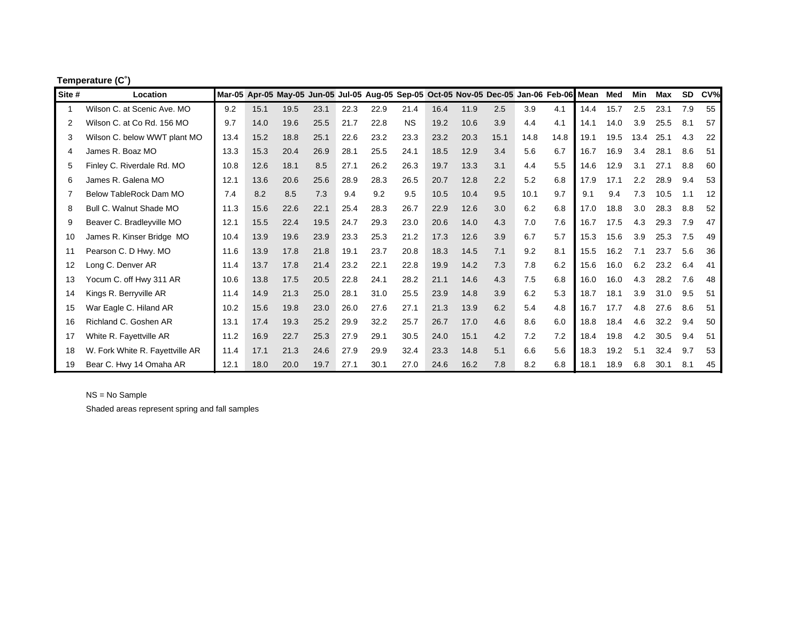| Temperature (C°) |  |
|------------------|--|
|                  |  |

| Site #      | Location                        |      |      | Mar-05 Apr-05 May-05 Jun-05 Jul-05 Aug-05 Sep-05 Oct-05 Nov-05 Dec-05 Jan-06 Feb-06 Mean |      |      |      |           |      |      |      |      |      |      | Med  | Min  | Max  | <b>SD</b> | CV% |
|-------------|---------------------------------|------|------|------------------------------------------------------------------------------------------|------|------|------|-----------|------|------|------|------|------|------|------|------|------|-----------|-----|
| $\mathbf 1$ | Wilson C. at Scenic Ave. MO     | 9.2  | 15.1 | 19.5                                                                                     | 23.1 | 22.3 | 22.9 | 21.4      | 16.4 | 11.9 | 2.5  | 3.9  | 4.1  | 14.4 | 15.7 | 2.5  | 23.1 | 7.9       | 55  |
| 2           | Wilson C. at Co Rd. 156 MO      | 9.7  | 14.0 | 19.6                                                                                     | 25.5 | 21.7 | 22.8 | <b>NS</b> | 19.2 | 10.6 | 3.9  | 4.4  | 4.1  | 14.1 | 14.0 | 3.9  | 25.5 | 8.1       | 57  |
| 3           | Wilson C. below WWT plant MO    | 13.4 | 15.2 | 18.8                                                                                     | 25.1 | 22.6 | 23.2 | 23.3      | 23.2 | 20.3 | 15.1 | 14.8 | 14.8 | 19.1 | 19.5 | 13.4 | 25.1 | 4.3       | 22  |
| 4           | James R. Boaz MO                | 13.3 | 15.3 | 20.4                                                                                     | 26.9 | 28.1 | 25.5 | 24.1      | 18.5 | 12.9 | 3.4  | 5.6  | 6.7  | 16.7 | 16.9 | 3.4  | 28.1 | 8.6       | 51  |
| 5           | Finley C. Riverdale Rd. MO      | 10.8 | 12.6 | 18.1                                                                                     | 8.5  | 27.1 | 26.2 | 26.3      | 19.7 | 13.3 | 3.1  | 4.4  | 5.5  | 14.6 | 12.9 | 3.1  | 27.1 | 8.8       | 60  |
| 6           | James R. Galena MO              | 12.1 | 13.6 | 20.6                                                                                     | 25.6 | 28.9 | 28.3 | 26.5      | 20.7 | 12.8 | 2.2  | 5.2  | 6.8  | 17.9 | 17.1 | 2.2  | 28.9 | 9.4       | 53  |
|             | Below TableRock Dam MO          | 7.4  | 8.2  | 8.5                                                                                      | 7.3  | 9.4  | 9.2  | 9.5       | 10.5 | 10.4 | 9.5  | 10.1 | 9.7  | 9.1  | 9.4  | 7.3  | 10.5 | 1.1       | 12  |
| 8           | Bull C. Walnut Shade MO         | 11.3 | 15.6 | 22.6                                                                                     | 22.1 | 25.4 | 28.3 | 26.7      | 22.9 | 12.6 | 3.0  | 6.2  | 6.8  | 17.0 | 18.8 | 3.0  | 28.3 | 8.8       | 52  |
| 9           | Beaver C. Bradleyville MO       | 12.1 | 15.5 | 22.4                                                                                     | 19.5 | 24.7 | 29.3 | 23.0      | 20.6 | 14.0 | 4.3  | 7.0  | 7.6  | 16.7 | 17.5 | 4.3  | 29.3 | 7.9       | 47  |
| 10          | James R. Kinser Bridge MO       | 10.4 | 13.9 | 19.6                                                                                     | 23.9 | 23.3 | 25.3 | 21.2      | 17.3 | 12.6 | 3.9  | 6.7  | 5.7  | 15.3 | 15.6 | 3.9  | 25.3 | 7.5       | 49  |
| 11          | Pearson C. D Hwy. MO            | 11.6 | 13.9 | 17.8                                                                                     | 21.8 | 19.1 | 23.7 | 20.8      | 18.3 | 14.5 | 7.1  | 9.2  | 8.1  | 15.5 | 16.2 | 7.1  | 23.7 | 5.6       | 36  |
| 12          | Long C. Denver AR               | 11.4 | 13.7 | 17.8                                                                                     | 21.4 | 23.2 | 22.1 | 22.8      | 19.9 | 14.2 | 7.3  | 7.8  | 6.2  | 15.6 | 16.0 | 6.2  | 23.2 | 6.4       | 41  |
| 13          | Yocum C. off Hwy 311 AR         | 10.6 | 13.8 | 17.5                                                                                     | 20.5 | 22.8 | 24.1 | 28.2      | 21.1 | 14.6 | 4.3  | 7.5  | 6.8  | 16.0 | 16.0 | 4.3  | 28.2 | 7.6       | 48  |
| 14          | Kings R. Berryville AR          | 11.4 | 14.9 | 21.3                                                                                     | 25.0 | 28.1 | 31.0 | 25.5      | 23.9 | 14.8 | 3.9  | 6.2  | 5.3  | 18.7 | 18.1 | 3.9  | 31.0 | 9.5       | 51  |
| 15          | War Eagle C. Hiland AR          | 10.2 | 15.6 | 19.8                                                                                     | 23.0 | 26.0 | 27.6 | 27.1      | 21.3 | 13.9 | 6.2  | 5.4  | 4.8  | 16.7 | 17.7 | 4.8  | 27.6 | 8.6       | 51  |
| 16          | Richland C. Goshen AR           | 13.1 | 17.4 | 19.3                                                                                     | 25.2 | 29.9 | 32.2 | 25.7      | 26.7 | 17.0 | 4.6  | 8.6  | 6.0  | 18.8 | 18.4 | 4.6  | 32.2 | 9.4       | 50  |
| 17          | White R. Fayettville AR         | 11.2 | 16.9 | 22.7                                                                                     | 25.3 | 27.9 | 29.1 | 30.5      | 24.0 | 15.1 | 4.2  | 7.2  | 7.2  | 18.4 | 19.8 | 4.2  | 30.5 | 9.4       | 51  |
| 18          | W. Fork White R. Fayettville AR | 11.4 | 17.1 | 21.3                                                                                     | 24.6 | 27.9 | 29.9 | 32.4      | 23.3 | 14.8 | 5.1  | 6.6  | 5.6  | 18.3 | 19.2 | 5.1  | 32.4 | 9.7       | 53  |
| 19          | Bear C. Hwy 14 Omaha AR         | 12.1 | 18.0 | 20.0                                                                                     | 19.7 | 27.1 | 30.1 | 27.0      | 24.6 | 16.2 | 7.8  | 8.2  | 6.8  | 18.1 | 18.9 | 6.8  | 30.1 | 8.1       | 45  |

NS = No Sample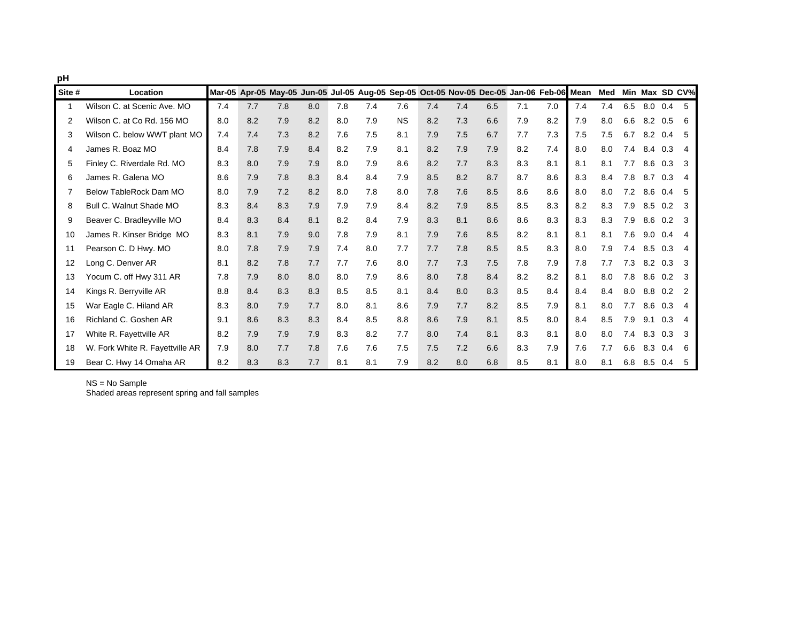| pH     |                                 |     |     |                                                                                          |     |     |     |           |     |     |     |     |     |     |     |     |     |     |                |
|--------|---------------------------------|-----|-----|------------------------------------------------------------------------------------------|-----|-----|-----|-----------|-----|-----|-----|-----|-----|-----|-----|-----|-----|-----|----------------|
| Site # | Location                        |     |     | Mar-05 Apr-05 May-05 Jun-05 Jul-05 Aug-05 Sep-05 Oct-05 Nov-05 Dec-05 Jan-06 Feb-06 Mean |     |     |     |           |     |     |     |     |     |     | Med |     |     |     | Min Max SD CV% |
| 1      | Wilson C. at Scenic Ave. MO     | 7.4 | 7.7 | 7.8                                                                                      | 8.0 | 7.8 | 7.4 | 7.6       | 7.4 | 7.4 | 6.5 | 7.1 | 7.0 | 7.4 | 7.4 | 6.5 | 8.0 | 0.4 | - 5            |
| 2      | Wilson C. at Co Rd. 156 MO      | 8.0 | 8.2 | 7.9                                                                                      | 8.2 | 8.0 | 7.9 | <b>NS</b> | 8.2 | 7.3 | 6.6 | 7.9 | 8.2 | 7.9 | 8.0 | 6.6 | 8.2 | 0.5 | - 6            |
| 3      | Wilson C. below WWT plant MO    | 7.4 | 7.4 | 7.3                                                                                      | 8.2 | 7.6 | 7.5 | 8.1       | 7.9 | 7.5 | 6.7 | 7.7 | 7.3 | 7.5 | 7.5 | 6.7 | 8.2 | 0.4 | - 5            |
| 4      | James R. Boaz MO                | 8.4 | 7.8 | 7.9                                                                                      | 8.4 | 8.2 | 7.9 | 8.1       | 8.2 | 7.9 | 7.9 | 8.2 | 7.4 | 8.0 | 8.0 | 7.4 | 8.4 | 0.3 | 4              |
| 5      | Finley C. Riverdale Rd. MO      | 8.3 | 8.0 | 7.9                                                                                      | 7.9 | 8.0 | 7.9 | 8.6       | 8.2 | 7.7 | 8.3 | 8.3 | 8.1 | 8.1 | 8.1 | 7.7 | 8.6 | 0.3 | - 3            |
| 6      | James R. Galena MO              | 8.6 | 7.9 | 7.8                                                                                      | 8.3 | 8.4 | 8.4 | 7.9       | 8.5 | 8.2 | 8.7 | 8.7 | 8.6 | 8.3 | 8.4 | 7.8 | 8.7 | 0.3 | $\overline{4}$ |
| 7      | Below TableRock Dam MO          | 8.0 | 7.9 | 7.2                                                                                      | 8.2 | 8.0 | 7.8 | 8.0       | 7.8 | 7.6 | 8.5 | 8.6 | 8.6 | 8.0 | 8.0 | 7.2 | 8.6 | 0.4 | - 5            |
| 8      | Bull C. Walnut Shade MO         | 8.3 | 8.4 | 8.3                                                                                      | 7.9 | 7.9 | 7.9 | 8.4       | 8.2 | 7.9 | 8.5 | 8.5 | 8.3 | 8.2 | 8.3 | 7.9 | 8.5 | 0.2 | - 3            |
| 9      | Beaver C. Bradleyville MO       | 8.4 | 8.3 | 8.4                                                                                      | 8.1 | 8.2 | 8.4 | 7.9       | 8.3 | 8.1 | 8.6 | 8.6 | 8.3 | 8.3 | 8.3 | 7.9 | 8.6 | 0.2 | - 3            |
| 10     | James R. Kinser Bridge MO       | 8.3 | 8.1 | 7.9                                                                                      | 9.0 | 7.8 | 7.9 | 8.1       | 7.9 | 7.6 | 8.5 | 8.2 | 8.1 | 8.1 | 8.1 | 7.6 | 9.0 | 0.4 | $\overline{4}$ |
| 11     | Pearson C. D Hwy. MO            | 8.0 | 7.8 | 7.9                                                                                      | 7.9 | 7.4 | 8.0 | 7.7       | 7.7 | 7.8 | 8.5 | 8.5 | 8.3 | 8.0 | 7.9 | 7.4 | 8.5 | 0.3 | 4              |
| 12     | Long C. Denver AR               | 8.1 | 8.2 | 7.8                                                                                      | 7.7 | 7.7 | 7.6 | 8.0       | 7.7 | 7.3 | 7.5 | 7.8 | 7.9 | 7.8 | 7.7 | 7.3 | 8.2 | 0.3 | $\mathbf{3}$   |
| 13     | Yocum C. off Hwy 311 AR         | 7.8 | 7.9 | 8.0                                                                                      | 8.0 | 8.0 | 7.9 | 8.6       | 8.0 | 7.8 | 8.4 | 8.2 | 8.2 | 8.1 | 8.0 | 7.8 | 8.6 | 0.2 | - 3            |
| 14     | Kings R. Berryville AR          | 8.8 | 8.4 | 8.3                                                                                      | 8.3 | 8.5 | 8.5 | 8.1       | 8.4 | 8.0 | 8.3 | 8.5 | 8.4 | 8.4 | 8.4 | 8.0 | 8.8 | 0.2 | $\overline{2}$ |
| 15     | War Eagle C. Hiland AR          | 8.3 | 8.0 | 7.9                                                                                      | 7.7 | 8.0 | 8.1 | 8.6       | 7.9 | 7.7 | 8.2 | 8.5 | 7.9 | 8.1 | 8.0 | 7.7 | 8.6 | 0.3 | $\overline{4}$ |
| 16     | Richland C. Goshen AR           | 9.1 | 8.6 | 8.3                                                                                      | 8.3 | 8.4 | 8.5 | 8.8       | 8.6 | 7.9 | 8.1 | 8.5 | 8.0 | 8.4 | 8.5 | 7.9 | 9.1 | 0.3 | $\overline{4}$ |
| 17     | White R. Fayettville AR         | 8.2 | 7.9 | 7.9                                                                                      | 7.9 | 8.3 | 8.2 | 7.7       | 8.0 | 7.4 | 8.1 | 8.3 | 8.1 | 8.0 | 8.0 | 7.4 | 8.3 | 0.3 | -3             |
| 18     | W. Fork White R. Fayettville AR | 7.9 | 8.0 | 7.7                                                                                      | 7.8 | 7.6 | 7.6 | 7.5       | 7.5 | 7.2 | 6.6 | 8.3 | 7.9 | 7.6 | 7.7 | 6.6 | 8.3 | 0.4 | -6             |
| 19     | Bear C. Hwy 14 Omaha AR         | 8.2 | 8.3 | 8.3                                                                                      | 7.7 | 8.1 | 8.1 | 7.9       | 8.2 | 8.0 | 6.8 | 8.5 | 8.1 | 8.0 | 8.1 | 6.8 | 8.5 | 0.4 | -5             |

NS = No Sample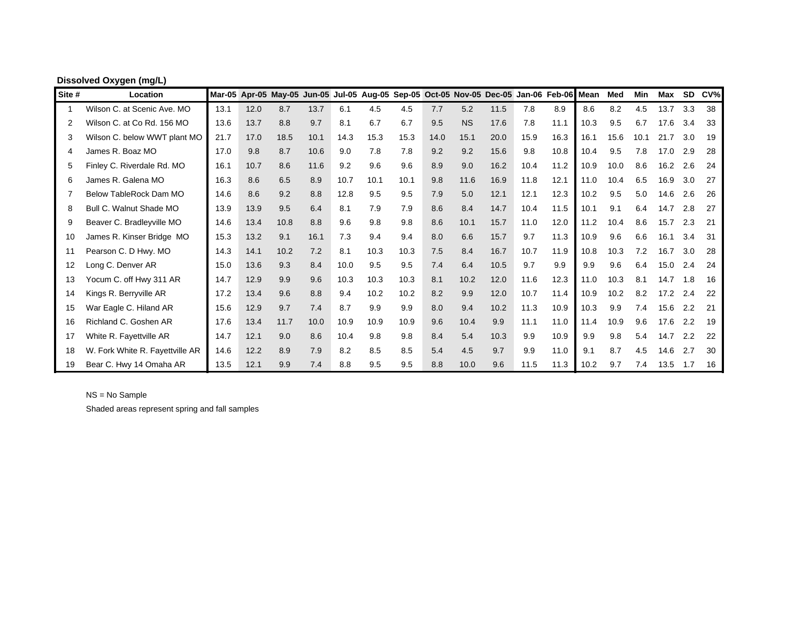| Site # | Location                        |      |      | Mar-05 Apr-05 May-05 Jun-05 Jul-05 Aug-05 Sep-05 Oct-05 Nov-05 Dec-05 Jan-06 Feb-06 Mean |      |      |      |      |      |           |      |      |      |      | <b>Med</b> | Min  | Max        | <b>SD</b> | CV% |
|--------|---------------------------------|------|------|------------------------------------------------------------------------------------------|------|------|------|------|------|-----------|------|------|------|------|------------|------|------------|-----------|-----|
| 1      | Wilson C. at Scenic Ave. MO     | 13.1 | 12.0 | 8.7                                                                                      | 13.7 | 6.1  | 4.5  | 4.5  | 7.7  | 5.2       | 11.5 | 7.8  | 8.9  | 8.6  | 8.2        | 4.5  | $13.7$ 3.3 |           | 38  |
| 2      | Wilson C. at Co Rd. 156 MO      | 13.6 | 13.7 | 8.8                                                                                      | 9.7  | 8.1  | 6.7  | 6.7  | 9.5  | <b>NS</b> | 17.6 | 7.8  | 11.1 | 10.3 | 9.5        | 6.7  | 17.6       | 3.4       | 33  |
| 3      | Wilson C. below WWT plant MO    | 21.7 | 17.0 | 18.5                                                                                     | 10.1 | 14.3 | 15.3 | 15.3 | 14.0 | 15.1      | 20.0 | 15.9 | 16.3 | 16.1 | 15.6       | 10.1 | 21.7       | 3.0       | 19  |
| 4      | James R. Boaz MO                | 17.0 | 9.8  | 8.7                                                                                      | 10.6 | 9.0  | 7.8  | 7.8  | 9.2  | 9.2       | 15.6 | 9.8  | 10.8 | 10.4 | 9.5        | 7.8  | 17.0       | 2.9       | 28  |
| 5      | Finley C. Riverdale Rd. MO      | 16.1 | 10.7 | 8.6                                                                                      | 11.6 | 9.2  | 9.6  | 9.6  | 8.9  | 9.0       | 16.2 | 10.4 | 11.2 | 10.9 | 10.0       | 8.6  | 16.2       | 2.6       | 24  |
| 6      | James R. Galena MO              | 16.3 | 8.6  | 6.5                                                                                      | 8.9  | 10.7 | 10.1 | 10.1 | 9.8  | 11.6      | 16.9 | 11.8 | 12.1 | 11.0 | 10.4       | 6.5  | 16.9       | 3.0       | 27  |
|        | Below TableRock Dam MO          | 14.6 | 8.6  | 9.2                                                                                      | 8.8  | 12.8 | 9.5  | 9.5  | 7.9  | 5.0       | 12.1 | 12.1 | 12.3 | 10.2 | 9.5        | 5.0  | 14.6       | 2.6       | 26  |
| 8      | Bull C. Walnut Shade MO         | 13.9 | 13.9 | 9.5                                                                                      | 6.4  | 8.1  | 7.9  | 7.9  | 8.6  | 8.4       | 14.7 | 10.4 | 11.5 | 10.1 | 9.1        | 6.4  | 14.7       | 2.8       | 27  |
| 9      | Beaver C. Bradleyville MO       | 14.6 | 13.4 | 10.8                                                                                     | 8.8  | 9.6  | 9.8  | 9.8  | 8.6  | 10.1      | 15.7 | 11.0 | 12.0 | 11.2 | 10.4       | 8.6  | 15.7       | 2.3       | 21  |
| 10     | James R. Kinser Bridge MO       | 15.3 | 13.2 | 9.1                                                                                      | 16.1 | 7.3  | 9.4  | 9.4  | 8.0  | 6.6       | 15.7 | 9.7  | 11.3 | 10.9 | 9.6        | 6.6  | 16.1       | 3.4       | 31  |
| 11     | Pearson C. D Hwy. MO            | 14.3 | 14.1 | 10.2                                                                                     | 7.2  | 8.1  | 10.3 | 10.3 | 7.5  | 8.4       | 16.7 | 10.7 | 11.9 | 10.8 | 10.3       | 7.2  | 16.7       | 3.0       | 28  |
| 12     | Long C. Denver AR               | 15.0 | 13.6 | 9.3                                                                                      | 8.4  | 10.0 | 9.5  | 9.5  | 7.4  | 6.4       | 10.5 | 9.7  | 9.9  | 9.9  | 9.6        | 6.4  | 15.0       | 2.4       | 24  |
| 13     | Yocum C. off Hwy 311 AR         | 14.7 | 12.9 | 9.9                                                                                      | 9.6  | 10.3 | 10.3 | 10.3 | 8.1  | 10.2      | 12.0 | 11.6 | 12.3 | 11.0 | 10.3       | 8.1  | 14.7       | 1.8       | 16  |
| 14     | Kings R. Berryville AR          | 17.2 | 13.4 | 9.6                                                                                      | 8.8  | 9.4  | 10.2 | 10.2 | 8.2  | 9.9       | 12.0 | 10.7 | 11.4 | 10.9 | 10.2       | 8.2  | 17.2       | 2.4       | 22  |
| 15     | War Eagle C. Hiland AR          | 15.6 | 12.9 | 9.7                                                                                      | 7.4  | 8.7  | 9.9  | 9.9  | 8.0  | 9.4       | 10.2 | 11.3 | 10.9 | 10.3 | 9.9        | 7.4  | 15.6       | 2.2       | 21  |
| 16     | Richland C. Goshen AR           | 17.6 | 13.4 | 11.7                                                                                     | 10.0 | 10.9 | 10.9 | 10.9 | 9.6  | 10.4      | 9.9  | 11.1 | 11.0 | 11.4 | 10.9       | 9.6  | 17.6       | 2.2       | 19  |
| 17     | White R. Fayettville AR         | 14.7 | 12.1 | 9.0                                                                                      | 8.6  | 10.4 | 9.8  | 9.8  | 8.4  | 5.4       | 10.3 | 9.9  | 10.9 | 9.9  | 9.8        | 5.4  | 14.7       | 2.2       | 22  |
| 18     | W. Fork White R. Fayettville AR | 14.6 | 12.2 | 8.9                                                                                      | 7.9  | 8.2  | 8.5  | 8.5  | 5.4  | 4.5       | 9.7  | 9.9  | 11.0 | 9.1  | 8.7        | 4.5  | 14.6       | 2.7       | 30  |
| 19     | Bear C. Hwy 14 Omaha AR         | 13.5 | 12.1 | 9.9                                                                                      | 7.4  | 8.8  | 9.5  | 9.5  | 8.8  | 10.0      | 9.6  | 11.5 | 11.3 | 10.2 | 9.7        | 7.4  | 13.5       | 1.7       | 16  |

# **Dissolved Oxygen (mg/L)**

NS = No Sample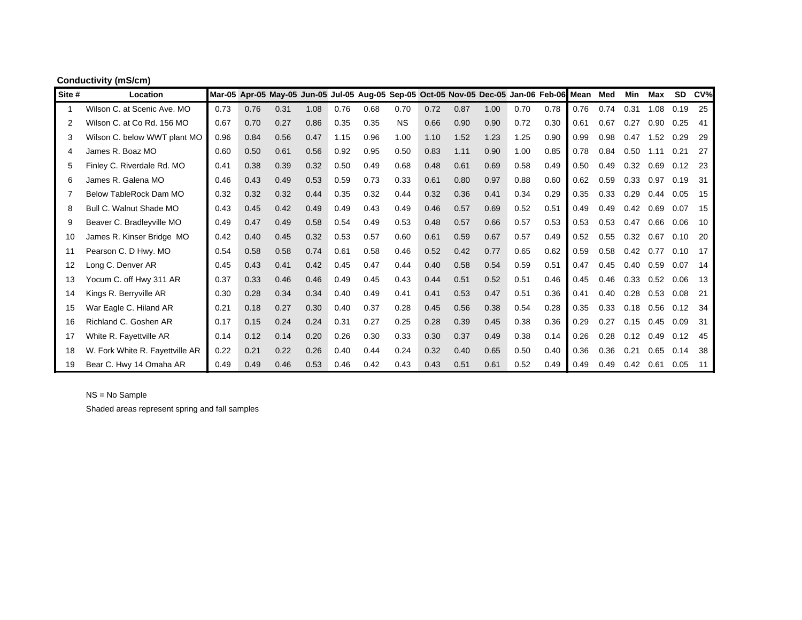|        | <b>Conductivity (mS/cm)</b>     |      |      |      |      |      |      |                                                                                          |      |      |      |      |      |      |      |            |            |           |     |
|--------|---------------------------------|------|------|------|------|------|------|------------------------------------------------------------------------------------------|------|------|------|------|------|------|------|------------|------------|-----------|-----|
| Site # | Location                        |      |      |      |      |      |      | Mar-05 Apr-05 May-05 Jun-05 Jul-05 Aug-05 Sep-05 Oct-05 Nov-05 Dec-05 Jan-06 Feb-06 Mean |      |      |      |      |      |      | Med  | <b>Min</b> | <b>Max</b> | <b>SD</b> | CV% |
|        | Wilson C. at Scenic Ave. MO     | 0.73 | 0.76 | 0.31 | 1.08 | 0.76 | 0.68 | 0.70                                                                                     | 0.72 | 0.87 | 1.00 | 0.70 | 0.78 | 0.76 | 0.74 | 0.31       | 1.08       | 0.19      | 25  |
| 2      | Wilson C. at Co Rd. 156 MO      | 0.67 | 0.70 | 0.27 | 0.86 | 0.35 | 0.35 | <b>NS</b>                                                                                | 0.66 | 0.90 | 0.90 | 0.72 | 0.30 | 0.61 | 0.67 | 0.27       | 0.90       | 0.25      | -41 |
| 3      | Wilson C. below WWT plant MO    | 0.96 | 0.84 | 0.56 | 0.47 | 1.15 | 0.96 | 1.00                                                                                     | 1.10 | 1.52 | 1.23 | 1.25 | 0.90 | 0.99 | 0.98 | 0.47       | 1.52       | 0.29      | 29  |
| 4      | James R. Boaz MO                | 0.60 | 0.50 | 0.61 | 0.56 | 0.92 | 0.95 | 0.50                                                                                     | 0.83 | 1.11 | 0.90 | 1.00 | 0.85 | 0.78 | 0.84 | 0.50       | 1.11       | 0.21      | -27 |
| 5      | Finley C. Riverdale Rd. MO      | 0.41 | 0.38 | 0.39 | 0.32 | 0.50 | 0.49 | 0.68                                                                                     | 0.48 | 0.61 | 0.69 | 0.58 | 0.49 | 0.50 | 0.49 | 0.32       | 0.69       | 0.12      | 23  |
| 6      | James R. Galena MO              | 0.46 | 0.43 | 0.49 | 0.53 | 0.59 | 0.73 | 0.33                                                                                     | 0.61 | 0.80 | 0.97 | 0.88 | 0.60 | 0.62 | 0.59 | 0.33       | 0.97       | 0.19      | 31  |
| 7      | Below TableRock Dam MO          | 0.32 | 0.32 | 0.32 | 0.44 | 0.35 | 0.32 | 0.44                                                                                     | 0.32 | 0.36 | 0.41 | 0.34 | 0.29 | 0.35 | 0.33 | 0.29       | 0.44       | 0.05      | -15 |
| 8      | Bull C. Walnut Shade MO         | 0.43 | 0.45 | 0.42 | 0.49 | 0.49 | 0.43 | 0.49                                                                                     | 0.46 | 0.57 | 0.69 | 0.52 | 0.51 | 0.49 | 0.49 | 0.42       | 0.69       | 0.07      | -15 |
| 9      | Beaver C. Bradleyville MO       | 0.49 | 0.47 | 0.49 | 0.58 | 0.54 | 0.49 | 0.53                                                                                     | 0.48 | 0.57 | 0.66 | 0.57 | 0.53 | 0.53 | 0.53 | 0.47       | 0.66       | 0.06      | 10  |
| 10     | James R. Kinser Bridge MO       | 0.42 | 0.40 | 0.45 | 0.32 | 0.53 | 0.57 | 0.60                                                                                     | 0.61 | 0.59 | 0.67 | 0.57 | 0.49 | 0.52 | 0.55 | 0.32       | 0.67       | 0.10      | 20  |
| 11     | Pearson C. D Hwy. MO            | 0.54 | 0.58 | 0.58 | 0.74 | 0.61 | 0.58 | 0.46                                                                                     | 0.52 | 0.42 | 0.77 | 0.65 | 0.62 | 0.59 | 0.58 | 0.42       | 0.77       | 0.10      | -17 |
| 12     | Long C. Denver AR               | 0.45 | 0.43 | 0.41 | 0.42 | 0.45 | 0.47 | 0.44                                                                                     | 0.40 | 0.58 | 0.54 | 0.59 | 0.51 | 0.47 | 0.45 | 0.40       | 0.59       | 0.07      | -14 |
| 13     | Yocum C. off Hwy 311 AR         | 0.37 | 0.33 | 0.46 | 0.46 | 0.49 | 0.45 | 0.43                                                                                     | 0.44 | 0.51 | 0.52 | 0.51 | 0.46 | 0.45 | 0.46 | 0.33       | 0.52       | 0.06      | -13 |
| 14     | Kings R. Berryville AR          | 0.30 | 0.28 | 0.34 | 0.34 | 0.40 | 0.49 | 0.41                                                                                     | 0.41 | 0.53 | 0.47 | 0.51 | 0.36 | 0.41 | 0.40 | 0.28       | 0.53       | 0.08      | 21  |
| 15     | War Eagle C. Hiland AR          | 0.21 | 0.18 | 0.27 | 0.30 | 0.40 | 0.37 | 0.28                                                                                     | 0.45 | 0.56 | 0.38 | 0.54 | 0.28 | 0.35 | 0.33 | 0.18       | 0.56       | 0.12      | 34  |
| 16     | Richland C. Goshen AR           | 0.17 | 0.15 | 0.24 | 0.24 | 0.31 | 0.27 | 0.25                                                                                     | 0.28 | 0.39 | 0.45 | 0.38 | 0.36 | 0.29 | 0.27 | 0.15       | 0.45       | 0.09      | -31 |
| 17     | White R. Fayettville AR         | 0.14 | 0.12 | 0.14 | 0.20 | 0.26 | 0.30 | 0.33                                                                                     | 0.30 | 0.37 | 0.49 | 0.38 | 0.14 | 0.26 | 0.28 | 0.12       | 0.49       | 0.12      | 45  |
| 18     | W. Fork White R. Fayettville AR | 0.22 | 0.21 | 0.22 | 0.26 | 0.40 | 0.44 | 0.24                                                                                     | 0.32 | 0.40 | 0.65 | 0.50 | 0.40 | 0.36 | 0.36 | 0.21       | 0.65       | 0.14      | -38 |
| 19     | Bear C. Hwy 14 Omaha AR         | 0.49 | 0.49 | 0.46 | 0.53 | 0.46 | 0.42 | 0.43                                                                                     | 0.43 | 0.51 | 0.61 | 0.52 | 0.49 | 0.49 | 0.49 | 0.42       | 0.61       | 0.05      | 11  |

NS = No Sample